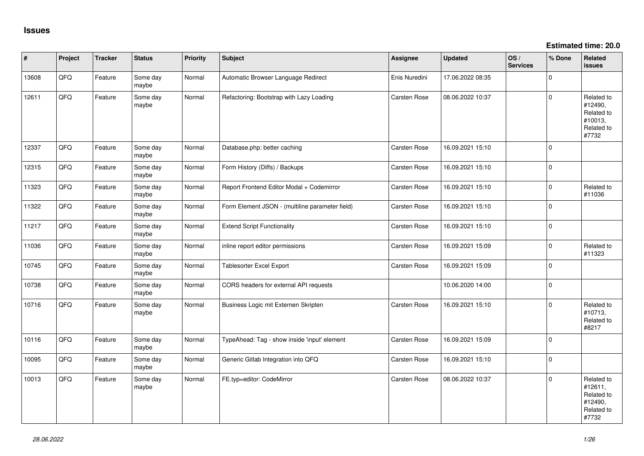**Estimated time: 20.0**

| #     | Project | <b>Tracker</b> | <b>Status</b>     | Priority | <b>Subject</b>                                  | Assignee      | <b>Updated</b>   | OS/<br><b>Services</b> | % Done   | Related<br><b>issues</b>                                              |
|-------|---------|----------------|-------------------|----------|-------------------------------------------------|---------------|------------------|------------------------|----------|-----------------------------------------------------------------------|
| 13608 | QFQ     | Feature        | Some day<br>maybe | Normal   | Automatic Browser Language Redirect             | Enis Nuredini | 17.06.2022 08:35 |                        | $\Omega$ |                                                                       |
| 12611 | QFQ     | Feature        | Some day<br>maybe | Normal   | Refactoring: Bootstrap with Lazy Loading        | Carsten Rose  | 08.06.2022 10:37 |                        | $\Omega$ | Related to<br>#12490,<br>Related to<br>#10013,<br>Related to<br>#7732 |
| 12337 | QFQ     | Feature        | Some day<br>maybe | Normal   | Database.php: better caching                    | Carsten Rose  | 16.09.2021 15:10 |                        | $\Omega$ |                                                                       |
| 12315 | QFQ     | Feature        | Some day<br>maybe | Normal   | Form History (Diffs) / Backups                  | Carsten Rose  | 16.09.2021 15:10 |                        | $\Omega$ |                                                                       |
| 11323 | QFQ     | Feature        | Some day<br>maybe | Normal   | Report Frontend Editor Modal + Codemirror       | Carsten Rose  | 16.09.2021 15:10 |                        | $\Omega$ | Related to<br>#11036                                                  |
| 11322 | QFQ     | Feature        | Some day<br>maybe | Normal   | Form Element JSON - (multiline parameter field) | Carsten Rose  | 16.09.2021 15:10 |                        | $\Omega$ |                                                                       |
| 11217 | QFQ     | Feature        | Some day<br>maybe | Normal   | <b>Extend Script Functionality</b>              | Carsten Rose  | 16.09.2021 15:10 |                        | $\Omega$ |                                                                       |
| 11036 | QFQ     | Feature        | Some day<br>maybe | Normal   | inline report editor permissions                | Carsten Rose  | 16.09.2021 15:09 |                        | $\Omega$ | Related to<br>#11323                                                  |
| 10745 | QFQ     | Feature        | Some day<br>maybe | Normal   | Tablesorter Excel Export                        | Carsten Rose  | 16.09.2021 15:09 |                        | $\Omega$ |                                                                       |
| 10738 | QFQ     | Feature        | Some day<br>maybe | Normal   | CORS headers for external API requests          |               | 10.06.2020 14:00 |                        | $\Omega$ |                                                                       |
| 10716 | QFQ     | Feature        | Some day<br>maybe | Normal   | Business Logic mit Externen Skripten            | Carsten Rose  | 16.09.2021 15:10 |                        | $\Omega$ | Related to<br>#10713,<br>Related to<br>#8217                          |
| 10116 | QFQ     | Feature        | Some day<br>maybe | Normal   | TypeAhead: Tag - show inside 'input' element    | Carsten Rose  | 16.09.2021 15:09 |                        | $\Omega$ |                                                                       |
| 10095 | QFQ     | Feature        | Some day<br>maybe | Normal   | Generic Gitlab Integration into QFQ             | Carsten Rose  | 16.09.2021 15:10 |                        | $\Omega$ |                                                                       |
| 10013 | QFQ     | Feature        | Some day<br>maybe | Normal   | FE.typ=editor: CodeMirror                       | Carsten Rose  | 08.06.2022 10:37 |                        | $\Omega$ | Related to<br>#12611,<br>Related to<br>#12490,<br>Related to<br>#7732 |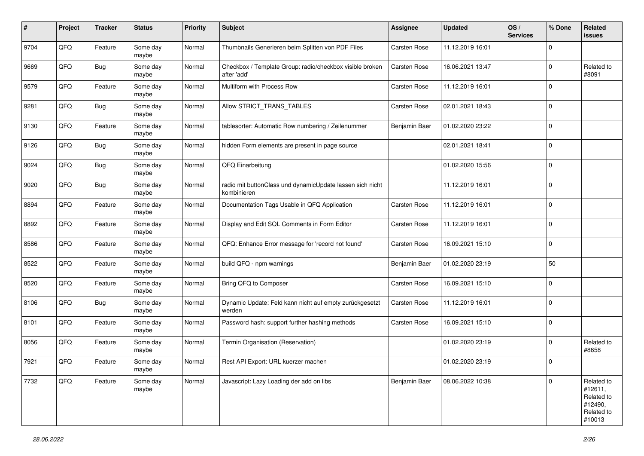| #    | Project | <b>Tracker</b> | <b>Status</b>     | <b>Priority</b> | <b>Subject</b>                                                           | Assignee            | <b>Updated</b>   | OS/<br><b>Services</b> | % Done   | Related<br><b>issues</b>                                               |
|------|---------|----------------|-------------------|-----------------|--------------------------------------------------------------------------|---------------------|------------------|------------------------|----------|------------------------------------------------------------------------|
| 9704 | QFQ     | Feature        | Some day<br>maybe | Normal          | Thumbnails Generieren beim Splitten von PDF Files                        | Carsten Rose        | 11.12.2019 16:01 |                        | 0        |                                                                        |
| 9669 | QFQ     | Bug            | Some day<br>maybe | Normal          | Checkbox / Template Group: radio/checkbox visible broken<br>after 'add'  | <b>Carsten Rose</b> | 16.06.2021 13:47 |                        | $\Omega$ | Related to<br>#8091                                                    |
| 9579 | QFQ     | Feature        | Some day<br>maybe | Normal          | Multiform with Process Row                                               | Carsten Rose        | 11.12.2019 16:01 |                        | 0        |                                                                        |
| 9281 | QFQ     | <b>Bug</b>     | Some day<br>maybe | Normal          | Allow STRICT_TRANS_TABLES                                                | <b>Carsten Rose</b> | 02.01.2021 18:43 |                        | 0        |                                                                        |
| 9130 | QFQ     | Feature        | Some day<br>maybe | Normal          | tablesorter: Automatic Row numbering / Zeilenummer                       | Benjamin Baer       | 01.02.2020 23:22 |                        | $\Omega$ |                                                                        |
| 9126 | QFQ     | <b>Bug</b>     | Some day<br>maybe | Normal          | hidden Form elements are present in page source                          |                     | 02.01.2021 18:41 |                        | $\Omega$ |                                                                        |
| 9024 | QFQ     | <b>Bug</b>     | Some day<br>maybe | Normal          | QFQ Einarbeitung                                                         |                     | 01.02.2020 15:56 |                        | $\Omega$ |                                                                        |
| 9020 | QFQ     | <b>Bug</b>     | Some day<br>maybe | Normal          | radio mit buttonClass und dynamicUpdate lassen sich nicht<br>kombinieren |                     | 11.12.2019 16:01 |                        | 0        |                                                                        |
| 8894 | QFQ     | Feature        | Some day<br>maybe | Normal          | Documentation Tags Usable in QFQ Application                             | Carsten Rose        | 11.12.2019 16:01 |                        | 0        |                                                                        |
| 8892 | QFQ     | Feature        | Some day<br>maybe | Normal          | Display and Edit SQL Comments in Form Editor                             | Carsten Rose        | 11.12.2019 16:01 |                        | 0        |                                                                        |
| 8586 | QFQ     | Feature        | Some day<br>maybe | Normal          | QFQ: Enhance Error message for 'record not found'                        | <b>Carsten Rose</b> | 16.09.2021 15:10 |                        | 0        |                                                                        |
| 8522 | QFQ     | Feature        | Some day<br>maybe | Normal          | build QFQ - npm warnings                                                 | Benjamin Baer       | 01.02.2020 23:19 |                        | 50       |                                                                        |
| 8520 | QFQ     | Feature        | Some day<br>maybe | Normal          | Bring QFQ to Composer                                                    | Carsten Rose        | 16.09.2021 15:10 |                        | $\Omega$ |                                                                        |
| 8106 | QFQ     | <b>Bug</b>     | Some day<br>maybe | Normal          | Dynamic Update: Feld kann nicht auf empty zurückgesetzt<br>werden        | <b>Carsten Rose</b> | 11.12.2019 16:01 |                        | $\Omega$ |                                                                        |
| 8101 | QFQ     | Feature        | Some day<br>maybe | Normal          | Password hash: support further hashing methods                           | Carsten Rose        | 16.09.2021 15:10 |                        | 0        |                                                                        |
| 8056 | QFQ     | Feature        | Some day<br>maybe | Normal          | Termin Organisation (Reservation)                                        |                     | 01.02.2020 23:19 |                        | $\Omega$ | Related to<br>#8658                                                    |
| 7921 | QFQ     | Feature        | Some day<br>maybe | Normal          | Rest API Export: URL kuerzer machen                                      |                     | 01.02.2020 23:19 |                        | $\Omega$ |                                                                        |
| 7732 | QFQ     | Feature        | Some day<br>maybe | Normal          | Javascript: Lazy Loading der add on libs                                 | Benjamin Baer       | 08.06.2022 10:38 |                        | 0        | Related to<br>#12611,<br>Related to<br>#12490,<br>Related to<br>#10013 |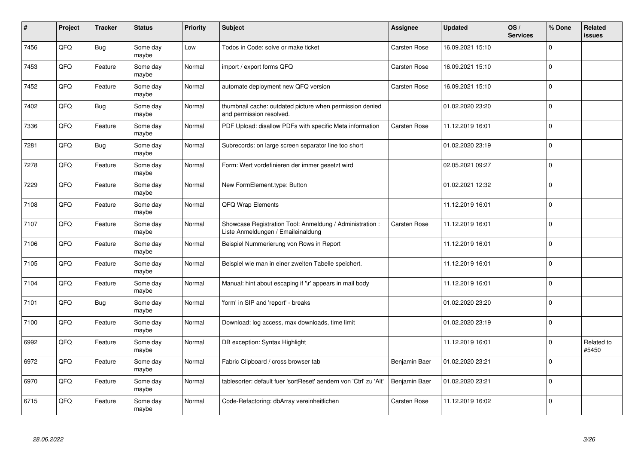| #    | Project | <b>Tracker</b> | <b>Status</b>     | Priority | <b>Subject</b>                                                                                 | Assignee            | <b>Updated</b>   | OS/<br><b>Services</b> | % Done   | Related<br><b>issues</b> |
|------|---------|----------------|-------------------|----------|------------------------------------------------------------------------------------------------|---------------------|------------------|------------------------|----------|--------------------------|
| 7456 | QFQ     | <b>Bug</b>     | Some day<br>maybe | Low      | Todos in Code: solve or make ticket                                                            | <b>Carsten Rose</b> | 16.09.2021 15:10 |                        | $\Omega$ |                          |
| 7453 | QFQ     | Feature        | Some day<br>maybe | Normal   | import / export forms QFQ                                                                      | Carsten Rose        | 16.09.2021 15:10 |                        | $\Omega$ |                          |
| 7452 | QFQ     | Feature        | Some day<br>maybe | Normal   | automate deployment new QFQ version                                                            | <b>Carsten Rose</b> | 16.09.2021 15:10 |                        | 0        |                          |
| 7402 | QFQ     | <b>Bug</b>     | Some day<br>maybe | Normal   | thumbnail cache: outdated picture when permission denied<br>and permission resolved.           |                     | 01.02.2020 23:20 |                        | $\Omega$ |                          |
| 7336 | QFQ     | Feature        | Some day<br>maybe | Normal   | PDF Upload: disallow PDFs with specific Meta information                                       | <b>Carsten Rose</b> | 11.12.2019 16:01 |                        | $\Omega$ |                          |
| 7281 | QFQ     | Bug            | Some day<br>maybe | Normal   | Subrecords: on large screen separator line too short                                           |                     | 01.02.2020 23:19 |                        | 0        |                          |
| 7278 | QFQ     | Feature        | Some day<br>maybe | Normal   | Form: Wert vordefinieren der immer gesetzt wird                                                |                     | 02.05.2021 09:27 |                        | $\Omega$ |                          |
| 7229 | QFQ     | Feature        | Some day<br>maybe | Normal   | New FormElement.type: Button                                                                   |                     | 01.02.2021 12:32 |                        | $\Omega$ |                          |
| 7108 | QFQ     | Feature        | Some day<br>maybe | Normal   | <b>QFQ Wrap Elements</b>                                                                       |                     | 11.12.2019 16:01 |                        | $\Omega$ |                          |
| 7107 | QFQ     | Feature        | Some day<br>maybe | Normal   | Showcase Registration Tool: Anmeldung / Administration :<br>Liste Anmeldungen / Emaileinaldung | Carsten Rose        | 11.12.2019 16:01 |                        | 0        |                          |
| 7106 | QFQ     | Feature        | Some day<br>maybe | Normal   | Beispiel Nummerierung von Rows in Report                                                       |                     | 11.12.2019 16:01 |                        | $\Omega$ |                          |
| 7105 | QFQ     | Feature        | Some day<br>maybe | Normal   | Beispiel wie man in einer zweiten Tabelle speichert.                                           |                     | 11.12.2019 16:01 |                        | $\Omega$ |                          |
| 7104 | QFQ     | Feature        | Some day<br>maybe | Normal   | Manual: hint about escaping if '\r' appears in mail body                                       |                     | 11.12.2019 16:01 |                        | 0        |                          |
| 7101 | QFQ     | <b>Bug</b>     | Some day<br>maybe | Normal   | 'form' in SIP and 'report' - breaks                                                            |                     | 01.02.2020 23:20 |                        | $\Omega$ |                          |
| 7100 | QFQ     | Feature        | Some day<br>maybe | Normal   | Download: log access, max downloads, time limit                                                |                     | 01.02.2020 23:19 |                        | $\Omega$ |                          |
| 6992 | QFQ     | Feature        | Some day<br>maybe | Normal   | DB exception: Syntax Highlight                                                                 |                     | 11.12.2019 16:01 |                        | $\Omega$ | Related to<br>#5450      |
| 6972 | QFQ     | Feature        | Some day<br>maybe | Normal   | Fabric Clipboard / cross browser tab                                                           | Benjamin Baer       | 01.02.2020 23:21 |                        | $\Omega$ |                          |
| 6970 | QFQ     | Feature        | Some day<br>maybe | Normal   | tablesorter: default fuer 'sortReset' aendern von 'Ctrl' zu 'Alt'                              | Benjamin Baer       | 01.02.2020 23:21 |                        | $\Omega$ |                          |
| 6715 | QFQ     | Feature        | Some day<br>maybe | Normal   | Code-Refactoring: dbArray vereinheitlichen                                                     | Carsten Rose        | 11.12.2019 16:02 |                        | $\Omega$ |                          |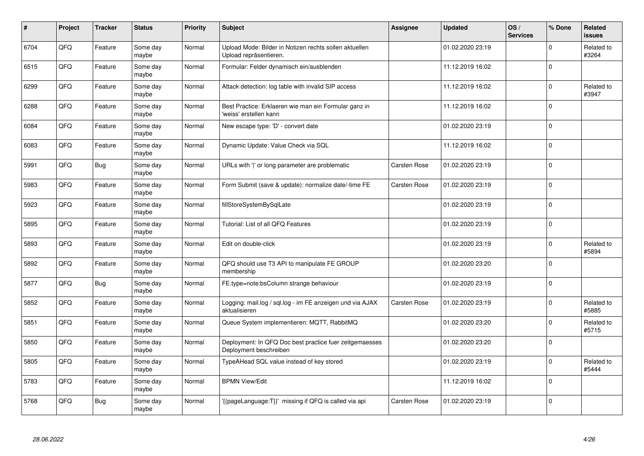| #    | Project | <b>Tracker</b> | <b>Status</b>     | <b>Priority</b> | <b>Subject</b>                                                                    | Assignee            | <b>Updated</b>   | OS/<br><b>Services</b> | % Done   | Related<br><b>issues</b> |
|------|---------|----------------|-------------------|-----------------|-----------------------------------------------------------------------------------|---------------------|------------------|------------------------|----------|--------------------------|
| 6704 | QFQ     | Feature        | Some day<br>maybe | Normal          | Upload Mode: Bilder in Notizen rechts sollen aktuellen<br>Upload repräsentieren.  |                     | 01.02.2020 23:19 |                        | $\Omega$ | Related to<br>#3264      |
| 6515 | QFQ     | Feature        | Some day<br>maybe | Normal          | Formular: Felder dynamisch ein/ausblenden                                         |                     | 11.12.2019 16:02 |                        | $\Omega$ |                          |
| 6299 | QFQ     | Feature        | Some day<br>maybe | Normal          | Attack detection: log table with invalid SIP access                               |                     | 11.12.2019 16:02 |                        | $\Omega$ | Related to<br>#3947      |
| 6288 | QFQ     | Feature        | Some day<br>maybe | Normal          | Best Practice: Erklaeren wie man ein Formular ganz in<br>'weiss' erstellen kann   |                     | 11.12.2019 16:02 |                        | $\Omega$ |                          |
| 6084 | QFQ     | Feature        | Some day<br>maybe | Normal          | New escape type: 'D' - convert date                                               |                     | 01.02.2020 23:19 |                        | 0        |                          |
| 6083 | QFQ     | Feature        | Some day<br>maybe | Normal          | Dynamic Update: Value Check via SQL                                               |                     | 11.12.2019 16:02 |                        | $\Omega$ |                          |
| 5991 | QFQ     | Bug            | Some day<br>maybe | Normal          | URLs with 'I' or long parameter are problematic                                   | <b>Carsten Rose</b> | 01.02.2020 23:19 |                        | $\Omega$ |                          |
| 5983 | QFQ     | Feature        | Some day<br>maybe | Normal          | Form Submit (save & update): normalize date/-time FE                              | Carsten Rose        | 01.02.2020 23:19 |                        | $\Omega$ |                          |
| 5923 | QFQ     | Feature        | Some day<br>maybe | Normal          | fillStoreSystemBySqlLate                                                          |                     | 01.02.2020 23:19 |                        | $\Omega$ |                          |
| 5895 | QFQ     | Feature        | Some day<br>maybe | Normal          | Tutorial: List of all QFQ Features                                                |                     | 01.02.2020 23:19 |                        | $\Omega$ |                          |
| 5893 | QFQ     | Feature        | Some day<br>maybe | Normal          | Edit on double-click                                                              |                     | 01.02.2020 23:19 |                        | $\Omega$ | Related to<br>#5894      |
| 5892 | QFQ     | Feature        | Some day<br>maybe | Normal          | QFQ should use T3 API to manipulate FE GROUP<br>membership                        |                     | 01.02.2020 23:20 |                        | $\Omega$ |                          |
| 5877 | QFQ     | Bug            | Some day<br>maybe | Normal          | FE.type=note:bsColumn strange behaviour                                           |                     | 01.02.2020 23:19 |                        | $\Omega$ |                          |
| 5852 | QFQ     | Feature        | Some day<br>maybe | Normal          | Logging: mail.log / sql.log - im FE anzeigen und via AJAX<br>aktualisieren        | <b>Carsten Rose</b> | 01.02.2020 23:19 |                        | $\Omega$ | Related to<br>#5885      |
| 5851 | QFQ     | Feature        | Some day<br>maybe | Normal          | Queue System implementieren: MQTT, RabbitMQ                                       |                     | 01.02.2020 23:20 |                        | $\Omega$ | Related to<br>#5715      |
| 5850 | QFQ     | Feature        | Some day<br>maybe | Normal          | Deployment: In QFQ Doc best practice fuer zeitgemaesses<br>Deployment beschreiben |                     | 01.02.2020 23:20 |                        | $\Omega$ |                          |
| 5805 | QFQ     | Feature        | Some day<br>maybe | Normal          | TypeAHead SQL value instead of key stored                                         |                     | 01.02.2020 23:19 |                        | $\Omega$ | Related to<br>#5444      |
| 5783 | QFQ     | Feature        | Some day<br>maybe | Normal          | <b>BPMN View/Edit</b>                                                             |                     | 11.12.2019 16:02 |                        | $\Omega$ |                          |
| 5768 | QFQ     | Bug            | Some day<br>maybe | Normal          | {{pageLanguage:T}}' missing if QFQ is called via api                              | Carsten Rose        | 01.02.2020 23:19 |                        | $\Omega$ |                          |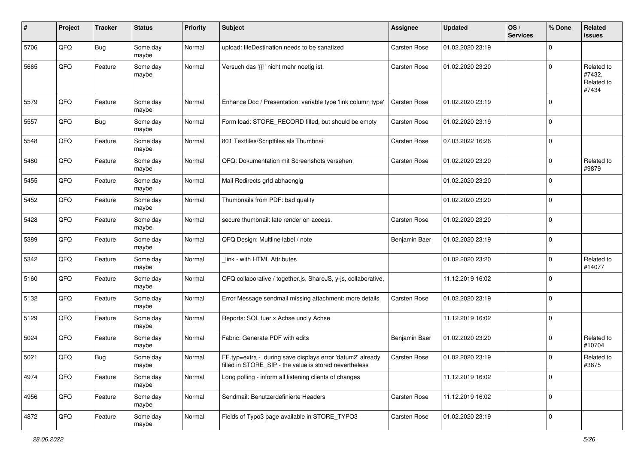| #    | Project | <b>Tracker</b> | <b>Status</b>     | <b>Priority</b> | Subject                                                                                                              | Assignee            | <b>Updated</b>   | OS/<br><b>Services</b> | % Done       | Related<br><b>issues</b>                    |
|------|---------|----------------|-------------------|-----------------|----------------------------------------------------------------------------------------------------------------------|---------------------|------------------|------------------------|--------------|---------------------------------------------|
| 5706 | QFQ     | <b>Bug</b>     | Some day<br>maybe | Normal          | upload: fileDestination needs to be sanatized                                                                        | Carsten Rose        | 01.02.2020 23:19 |                        | 0            |                                             |
| 5665 | QFQ     | Feature        | Some day<br>maybe | Normal          | Versuch das '{{!' nicht mehr noetig ist.                                                                             | <b>Carsten Rose</b> | 01.02.2020 23:20 |                        | $\Omega$     | Related to<br>#7432,<br>Related to<br>#7434 |
| 5579 | QFQ     | Feature        | Some day<br>maybe | Normal          | Enhance Doc / Presentation: variable type 'link column type'                                                         | <b>Carsten Rose</b> | 01.02.2020 23:19 |                        | $\Omega$     |                                             |
| 5557 | QFQ     | <b>Bug</b>     | Some day<br>maybe | Normal          | Form load: STORE RECORD filled, but should be empty                                                                  | Carsten Rose        | 01.02.2020 23:19 |                        | $\Omega$     |                                             |
| 5548 | QFQ     | Feature        | Some day<br>maybe | Normal          | 801 Textfiles/Scriptfiles als Thumbnail                                                                              | Carsten Rose        | 07.03.2022 16:26 |                        | $\Omega$     |                                             |
| 5480 | QFQ     | Feature        | Some day<br>maybe | Normal          | QFQ: Dokumentation mit Screenshots versehen                                                                          | <b>Carsten Rose</b> | 01.02.2020 23:20 |                        | $\Omega$     | Related to<br>#9879                         |
| 5455 | QFQ     | Feature        | Some day<br>maybe | Normal          | Mail Redirects grld abhaengig                                                                                        |                     | 01.02.2020 23:20 |                        | $\Omega$     |                                             |
| 5452 | QFQ     | Feature        | Some day<br>maybe | Normal          | Thumbnails from PDF: bad quality                                                                                     |                     | 01.02.2020 23:20 |                        | $\Omega$     |                                             |
| 5428 | QFQ     | Feature        | Some day<br>maybe | Normal          | secure thumbnail: late render on access.                                                                             | Carsten Rose        | 01.02.2020 23:20 |                        | 0            |                                             |
| 5389 | QFQ     | Feature        | Some day<br>maybe | Normal          | QFQ Design: Multline label / note                                                                                    | Benjamin Baer       | 01.02.2020 23:19 |                        | 0            |                                             |
| 5342 | QFQ     | Feature        | Some day<br>maybe | Normal          | link - with HTML Attributes                                                                                          |                     | 01.02.2020 23:20 |                        | $\Omega$     | Related to<br>#14077                        |
| 5160 | QFQ     | Feature        | Some day<br>maybe | Normal          | QFQ collaborative / together.js, ShareJS, y-js, collaborative,                                                       |                     | 11.12.2019 16:02 |                        | $\Omega$     |                                             |
| 5132 | QFQ     | Feature        | Some day<br>maybe | Normal          | Error Message sendmail missing attachment: more details                                                              | <b>Carsten Rose</b> | 01.02.2020 23:19 |                        | $\Omega$     |                                             |
| 5129 | QFQ     | Feature        | Some day<br>maybe | Normal          | Reports: SQL fuer x Achse und y Achse                                                                                |                     | 11.12.2019 16:02 |                        | $\Omega$     |                                             |
| 5024 | QFQ     | Feature        | Some day<br>maybe | Normal          | Fabric: Generate PDF with edits                                                                                      | Benjamin Baer       | 01.02.2020 23:20 |                        | $\Omega$     | Related to<br>#10704                        |
| 5021 | QFQ     | <b>Bug</b>     | Some day<br>maybe | Normal          | FE.typ=extra - during save displays error 'datum2' already<br>filled in STORE_SIP - the value is stored nevertheless | Carsten Rose        | 01.02.2020 23:19 |                        | <sup>0</sup> | Related to<br>#3875                         |
| 4974 | QFQ     | Feature        | Some day<br>maybe | Normal          | Long polling - inform all listening clients of changes                                                               |                     | 11.12.2019 16:02 |                        | $\mathbf{0}$ |                                             |
| 4956 | QFQ     | Feature        | Some day<br>maybe | Normal          | Sendmail: Benutzerdefinierte Headers                                                                                 | Carsten Rose        | 11.12.2019 16:02 |                        | 0            |                                             |
| 4872 | QFQ     | Feature        | Some day<br>maybe | Normal          | Fields of Typo3 page available in STORE_TYPO3                                                                        | Carsten Rose        | 01.02.2020 23:19 |                        | $\mathbf 0$  |                                             |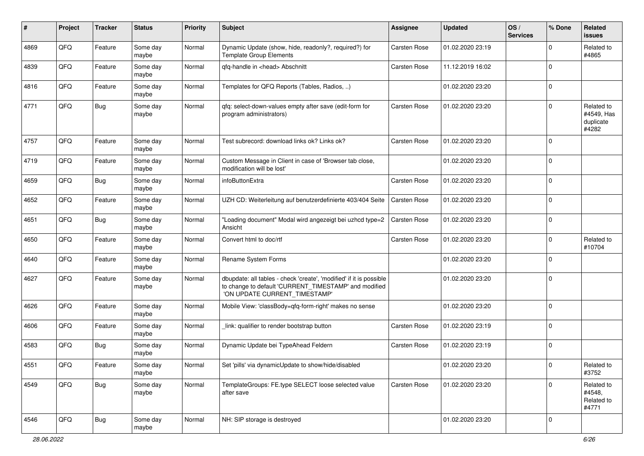| ∦    | Project | <b>Tracker</b> | <b>Status</b>     | <b>Priority</b> | <b>Subject</b>                                                                                                                                                | <b>Assignee</b>     | <b>Updated</b>   | OS/<br><b>Services</b> | % Done         | Related<br><b>issues</b>                       |
|------|---------|----------------|-------------------|-----------------|---------------------------------------------------------------------------------------------------------------------------------------------------------------|---------------------|------------------|------------------------|----------------|------------------------------------------------|
| 4869 | QFQ     | Feature        | Some day<br>maybe | Normal          | Dynamic Update (show, hide, readonly?, required?) for<br><b>Template Group Elements</b>                                                                       | Carsten Rose        | 01.02.2020 23:19 |                        | $\Omega$       | Related to<br>#4865                            |
| 4839 | QFQ     | Feature        | Some day<br>maybe | Normal          | gfg-handle in <head> Abschnitt</head>                                                                                                                         | <b>Carsten Rose</b> | 11.12.2019 16:02 |                        | $\Omega$       |                                                |
| 4816 | QFQ     | Feature        | Some day<br>maybe | Normal          | Templates for QFQ Reports (Tables, Radios, )                                                                                                                  |                     | 01.02.2020 23:20 |                        | $\Omega$       |                                                |
| 4771 | QFQ     | <b>Bug</b>     | Some day<br>maybe | Normal          | qfq: select-down-values empty after save (edit-form for<br>program administrators)                                                                            | <b>Carsten Rose</b> | 01.02.2020 23:20 |                        | $\Omega$       | Related to<br>#4549, Has<br>duplicate<br>#4282 |
| 4757 | QFQ     | Feature        | Some day<br>maybe | Normal          | Test subrecord: download links ok? Links ok?                                                                                                                  | <b>Carsten Rose</b> | 01.02.2020 23:20 |                        | $\Omega$       |                                                |
| 4719 | QFQ     | Feature        | Some day<br>maybe | Normal          | Custom Message in Client in case of 'Browser tab close,<br>modification will be lost'                                                                         |                     | 01.02.2020 23:20 |                        | $\mathbf 0$    |                                                |
| 4659 | QFQ     | <b>Bug</b>     | Some day<br>maybe | Normal          | infoButtonExtra                                                                                                                                               | <b>Carsten Rose</b> | 01.02.2020 23:20 |                        | $\Omega$       |                                                |
| 4652 | QFQ     | Feature        | Some day<br>maybe | Normal          | UZH CD: Weiterleitung auf benutzerdefinierte 403/404 Seite                                                                                                    | <b>Carsten Rose</b> | 01.02.2020 23:20 |                        | $\Omega$       |                                                |
| 4651 | QFQ     | <b>Bug</b>     | Some day<br>maybe | Normal          | "Loading document" Modal wird angezeigt bei uzhcd type=2<br>Ansicht                                                                                           | <b>Carsten Rose</b> | 01.02.2020 23:20 |                        | $\Omega$       |                                                |
| 4650 | QFQ     | Feature        | Some day<br>maybe | Normal          | Convert html to doc/rtf                                                                                                                                       | <b>Carsten Rose</b> | 01.02.2020 23:20 |                        | $\Omega$       | Related to<br>#10704                           |
| 4640 | QFQ     | Feature        | Some day<br>maybe | Normal          | Rename System Forms                                                                                                                                           |                     | 01.02.2020 23:20 |                        | $\mathbf 0$    |                                                |
| 4627 | QFQ     | Feature        | Some day<br>maybe | Normal          | dbupdate: all tables - check 'create', 'modified' if it is possible<br>to change to default 'CURRENT_TIMESTAMP' and modified<br>'ON UPDATE CURRENT_TIMESTAMP' |                     | 01.02.2020 23:20 |                        | $\Omega$       |                                                |
| 4626 | QFQ     | Feature        | Some day<br>maybe | Normal          | Mobile View: 'classBody=qfq-form-right' makes no sense                                                                                                        |                     | 01.02.2020 23:20 |                        | $\Omega$       |                                                |
| 4606 | QFQ     | Feature        | Some day<br>maybe | Normal          | link: qualifier to render bootstrap button                                                                                                                    | Carsten Rose        | 01.02.2020 23:19 |                        | $\Omega$       |                                                |
| 4583 | QFQ     | Bug            | Some day<br>maybe | Normal          | Dynamic Update bei TypeAhead Feldern                                                                                                                          | Carsten Rose        | 01.02.2020 23:19 |                        | $\Omega$       |                                                |
| 4551 | QFO     | Feature        | Some day<br>maybe | Normal          | Set 'pills' via dynamicUpdate to show/hide/disabled                                                                                                           |                     | 01.02.2020 23:20 |                        | $\overline{0}$ | Related to<br>#3752                            |
| 4549 | QFQ     | <b>Bug</b>     | Some day<br>maybe | Normal          | TemplateGroups: FE.type SELECT loose selected value<br>after save                                                                                             | Carsten Rose        | 01.02.2020 23:20 |                        | $\mathbf{0}$   | Related to<br>#4548,<br>Related to<br>#4771    |
| 4546 | QFG     | <b>Bug</b>     | Some day<br>maybe | Normal          | NH: SIP storage is destroyed                                                                                                                                  |                     | 01.02.2020 23:20 |                        | $\overline{0}$ |                                                |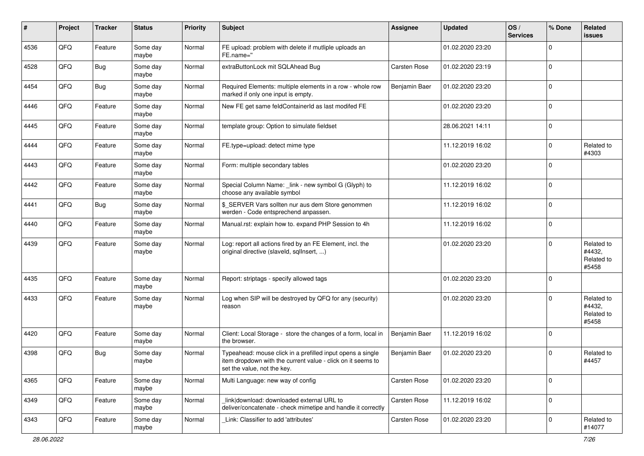| #    | Project | <b>Tracker</b> | <b>Status</b>     | <b>Priority</b> | <b>Subject</b>                                                                                                                                           | <b>Assignee</b>     | <b>Updated</b>   | OS/<br><b>Services</b> | % Done         | Related<br><b>issues</b>                    |
|------|---------|----------------|-------------------|-----------------|----------------------------------------------------------------------------------------------------------------------------------------------------------|---------------------|------------------|------------------------|----------------|---------------------------------------------|
| 4536 | QFQ     | Feature        | Some day<br>maybe | Normal          | FE upload: problem with delete if mutliple uploads an<br>FE.name="                                                                                       |                     | 01.02.2020 23:20 |                        | $\mathbf 0$    |                                             |
| 4528 | QFQ     | <b>Bug</b>     | Some day<br>maybe | Normal          | extraButtonLock mit SQLAhead Bug                                                                                                                         | <b>Carsten Rose</b> | 01.02.2020 23:19 |                        | $\overline{0}$ |                                             |
| 4454 | QFQ     | <b>Bug</b>     | Some day<br>maybe | Normal          | Required Elements: multiple elements in a row - whole row<br>marked if only one input is empty.                                                          | Benjamin Baer       | 01.02.2020 23:20 |                        | $\Omega$       |                                             |
| 4446 | QFQ     | Feature        | Some day<br>maybe | Normal          | New FE get same feldContainerId as last modifed FE                                                                                                       |                     | 01.02.2020 23:20 |                        | $\mathbf 0$    |                                             |
| 4445 | QFQ     | Feature        | Some day<br>maybe | Normal          | template group: Option to simulate fieldset                                                                                                              |                     | 28.06.2021 14:11 |                        | $\mathbf 0$    |                                             |
| 4444 | QFQ     | Feature        | Some day<br>maybe | Normal          | FE.type=upload: detect mime type                                                                                                                         |                     | 11.12.2019 16:02 |                        | $\mathbf 0$    | Related to<br>#4303                         |
| 4443 | QFQ     | Feature        | Some day<br>maybe | Normal          | Form: multiple secondary tables                                                                                                                          |                     | 01.02.2020 23:20 |                        | $\mathbf 0$    |                                             |
| 4442 | QFQ     | Feature        | Some day<br>maybe | Normal          | Special Column Name: _link - new symbol G (Glyph) to<br>choose any available symbol                                                                      |                     | 11.12.2019 16:02 |                        | $\mathbf 0$    |                                             |
| 4441 | QFQ     | <b>Bug</b>     | Some day<br>maybe | Normal          | \$_SERVER Vars sollten nur aus dem Store genommen<br>werden - Code entsprechend anpassen.                                                                |                     | 11.12.2019 16:02 |                        | $\overline{0}$ |                                             |
| 4440 | QFQ     | Feature        | Some day<br>maybe | Normal          | Manual.rst: explain how to. expand PHP Session to 4h                                                                                                     |                     | 11.12.2019 16:02 |                        | $\mathbf 0$    |                                             |
| 4439 | QFQ     | Feature        | Some day<br>maybe | Normal          | Log: report all actions fired by an FE Element, incl. the<br>original directive (slaveld, sqllnsert, )                                                   |                     | 01.02.2020 23:20 |                        | $\mathbf 0$    | Related to<br>#4432,<br>Related to<br>#5458 |
| 4435 | QFQ     | Feature        | Some day<br>maybe | Normal          | Report: striptags - specify allowed tags                                                                                                                 |                     | 01.02.2020 23:20 |                        | $\overline{0}$ |                                             |
| 4433 | QFQ     | Feature        | Some day<br>maybe | Normal          | Log when SIP will be destroyed by QFQ for any (security)<br>reason                                                                                       |                     | 01.02.2020 23:20 |                        | $\mathbf 0$    | Related to<br>#4432,<br>Related to<br>#5458 |
| 4420 | QFQ     | Feature        | Some day<br>maybe | Normal          | Client: Local Storage - store the changes of a form, local in<br>the browser.                                                                            | Benjamin Baer       | 11.12.2019 16:02 |                        | $\overline{0}$ |                                             |
| 4398 | QFQ     | Bug            | Some day<br>maybe | Normal          | Typeahead: mouse click in a prefilled input opens a single<br>item dropdown with the current value - click on it seems to<br>set the value, not the key. | Benjamin Baer       | 01.02.2020 23:20 |                        | $\Omega$       | Related to<br>#4457                         |
| 4365 | QFQ     | Feature        | Some day<br>maybe | Normal          | Multi Language: new way of config                                                                                                                        | Carsten Rose        | 01.02.2020 23:20 |                        | $\mathbf 0$    |                                             |
| 4349 | QFG     | Feature        | Some day<br>maybe | Normal          | link download: downloaded external URL to<br>deliver/concatenate - check mimetipe and handle it correctly                                                | Carsten Rose        | 11.12.2019 16:02 |                        | $\mathbf 0$    |                                             |
| 4343 | QFO     | Feature        | Some day<br>maybe | Normal          | Link: Classifier to add 'attributes'                                                                                                                     | Carsten Rose        | 01.02.2020 23:20 |                        | $\mathbf 0$    | Related to<br>#14077                        |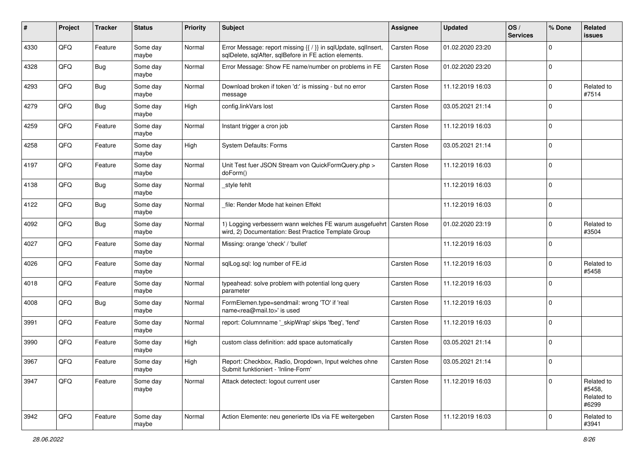| #    | Project | <b>Tracker</b> | <b>Status</b>     | <b>Priority</b> | <b>Subject</b>                                                                                                          | <b>Assignee</b>     | <b>Updated</b>   | OS/<br><b>Services</b> | % Done   | Related<br><b>issues</b>                    |
|------|---------|----------------|-------------------|-----------------|-------------------------------------------------------------------------------------------------------------------------|---------------------|------------------|------------------------|----------|---------------------------------------------|
| 4330 | QFQ     | Feature        | Some day<br>maybe | Normal          | Error Message: report missing {{ / }} in sqlUpdate, sqlInsert,<br>sqlDelete, sqlAfter, sqlBefore in FE action elements. | <b>Carsten Rose</b> | 01.02.2020 23:20 |                        | $\Omega$ |                                             |
| 4328 | QFQ     | <b>Bug</b>     | Some day<br>maybe | Normal          | Error Message: Show FE name/number on problems in FE                                                                    | <b>Carsten Rose</b> | 01.02.2020 23:20 |                        | $\Omega$ |                                             |
| 4293 | QFQ     | <b>Bug</b>     | Some day<br>maybe | Normal          | Download broken if token 'd:' is missing - but no error<br>message                                                      | Carsten Rose        | 11.12.2019 16:03 |                        | 0        | Related to<br>#7514                         |
| 4279 | QFQ     | <b>Bug</b>     | Some day<br>maybe | High            | config.linkVars lost                                                                                                    | Carsten Rose        | 03.05.2021 21:14 |                        | $\Omega$ |                                             |
| 4259 | QFQ     | Feature        | Some day<br>maybe | Normal          | Instant trigger a cron job                                                                                              | Carsten Rose        | 11.12.2019 16:03 |                        | $\Omega$ |                                             |
| 4258 | QFQ     | Feature        | Some day<br>maybe | High            | System Defaults: Forms                                                                                                  | Carsten Rose        | 03.05.2021 21:14 |                        | $\Omega$ |                                             |
| 4197 | QFQ     | Feature        | Some day<br>maybe | Normal          | Unit Test fuer JSON Stream von QuickFormQuery.php ><br>doForm()                                                         | Carsten Rose        | 11.12.2019 16:03 |                        | $\Omega$ |                                             |
| 4138 | QFQ     | Bug            | Some day<br>maybe | Normal          | style fehlt                                                                                                             |                     | 11.12.2019 16:03 |                        | 0        |                                             |
| 4122 | QFQ     | <b>Bug</b>     | Some day<br>maybe | Normal          | file: Render Mode hat keinen Effekt                                                                                     |                     | 11.12.2019 16:03 |                        | 0        |                                             |
| 4092 | QFQ     | <b>Bug</b>     | Some day<br>maybe | Normal          | 1) Logging verbessern wann welches FE warum ausgefuehrt<br>wird, 2) Documentation: Best Practice Template Group         | <b>Carsten Rose</b> | 01.02.2020 23:19 |                        | 0        | Related to<br>#3504                         |
| 4027 | QFQ     | Feature        | Some day<br>maybe | Normal          | Missing: orange 'check' / 'bullet'                                                                                      |                     | 11.12.2019 16:03 |                        | $\Omega$ |                                             |
| 4026 | QFQ     | Feature        | Some day<br>maybe | Normal          | sqlLog.sql: log number of FE.id                                                                                         | Carsten Rose        | 11.12.2019 16:03 |                        | $\Omega$ | Related to<br>#5458                         |
| 4018 | QFQ     | Feature        | Some day<br>maybe | Normal          | typeahead: solve problem with potential long query<br>parameter                                                         | Carsten Rose        | 11.12.2019 16:03 |                        | $\Omega$ |                                             |
| 4008 | QFQ     | Bug            | Some day<br>maybe | Normal          | FormElemen.type=sendmail: wrong 'TO' if 'real<br>name <rea@mail.to>' is used</rea@mail.to>                              | <b>Carsten Rose</b> | 11.12.2019 16:03 |                        | $\Omega$ |                                             |
| 3991 | QFQ     | Feature        | Some day<br>maybe | Normal          | report: Columnname '_skipWrap' skips 'fbeg', 'fend'                                                                     | <b>Carsten Rose</b> | 11.12.2019 16:03 |                        | 0        |                                             |
| 3990 | QFQ     | Feature        | Some day<br>maybe | High            | custom class definition: add space automatically                                                                        | <b>Carsten Rose</b> | 03.05.2021 21:14 |                        | 0        |                                             |
| 3967 | QFQ     | Feature        | Some day<br>maybe | High            | Report: Checkbox, Radio, Dropdown, Input welches ohne<br>Submit funktioniert - 'Inline-Form'                            | <b>Carsten Rose</b> | 03.05.2021 21:14 |                        | $\Omega$ |                                             |
| 3947 | QFQ     | Feature        | Some day<br>maybe | Normal          | Attack detectect: logout current user                                                                                   | Carsten Rose        | 11.12.2019 16:03 |                        | $\Omega$ | Related to<br>#5458,<br>Related to<br>#6299 |
| 3942 | QFQ     | Feature        | Some day<br>maybe | Normal          | Action Elemente: neu generierte IDs via FE weitergeben                                                                  | Carsten Rose        | 11.12.2019 16:03 |                        | 0        | Related to<br>#3941                         |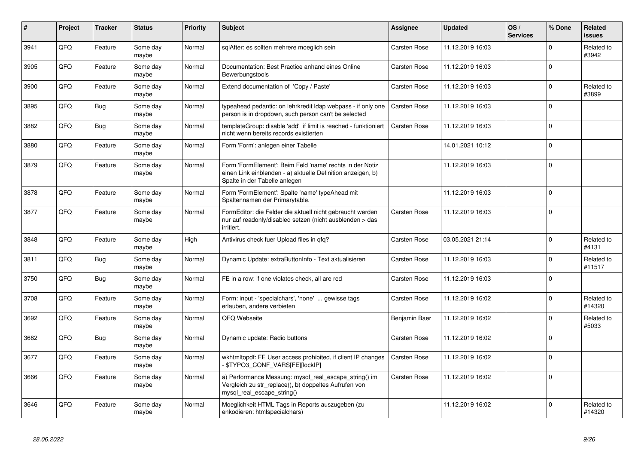| #    | Project | <b>Tracker</b> | <b>Status</b>     | Priority | <b>Subject</b>                                                                                                                                           | <b>Assignee</b>     | <b>Updated</b>   | OS/<br><b>Services</b> | % Done   | Related<br><b>issues</b> |
|------|---------|----------------|-------------------|----------|----------------------------------------------------------------------------------------------------------------------------------------------------------|---------------------|------------------|------------------------|----------|--------------------------|
| 3941 | QFQ     | Feature        | Some day<br>maybe | Normal   | sglAfter: es sollten mehrere moeglich sein                                                                                                               | <b>Carsten Rose</b> | 11.12.2019 16:03 |                        | $\Omega$ | Related to<br>#3942      |
| 3905 | QFQ     | Feature        | Some day<br>maybe | Normal   | Documentation: Best Practice anhand eines Online<br>Bewerbungstools                                                                                      | <b>Carsten Rose</b> | 11.12.2019 16:03 |                        | $\Omega$ |                          |
| 3900 | QFQ     | Feature        | Some day<br>maybe | Normal   | Extend documentation of 'Copy / Paste'                                                                                                                   | <b>Carsten Rose</b> | 11.12.2019 16:03 |                        | $\Omega$ | Related to<br>#3899      |
| 3895 | QFQ     | <b>Bug</b>     | Some day<br>maybe | Normal   | typeahead pedantic: on lehrkredit Idap webpass - if only one<br>person is in dropdown, such person can't be selected                                     | <b>Carsten Rose</b> | 11.12.2019 16:03 |                        | $\Omega$ |                          |
| 3882 | QFQ     | Bug            | Some day<br>maybe | Normal   | templateGroup: disable 'add' if limit is reached - funktioniert<br>nicht wenn bereits records existierten                                                | <b>Carsten Rose</b> | 11.12.2019 16:03 |                        | $\Omega$ |                          |
| 3880 | QFQ     | Feature        | Some day<br>maybe | Normal   | Form 'Form': anlegen einer Tabelle                                                                                                                       |                     | 14.01.2021 10:12 |                        | $\Omega$ |                          |
| 3879 | QFQ     | Feature        | Some day<br>maybe | Normal   | Form 'FormElement': Beim Feld 'name' rechts in der Notiz<br>einen Link einblenden - a) aktuelle Definition anzeigen, b)<br>Spalte in der Tabelle anlegen |                     | 11.12.2019 16:03 |                        | $\Omega$ |                          |
| 3878 | QFQ     | Feature        | Some day<br>maybe | Normal   | Form 'FormElement': Spalte 'name' typeAhead mit<br>Spaltennamen der Primarytable.                                                                        |                     | 11.12.2019 16:03 |                        | $\Omega$ |                          |
| 3877 | QFQ     | Feature        | Some day<br>maybe | Normal   | FormEditor: die Felder die aktuell nicht gebraucht werden<br>nur auf readonly/disabled setzen (nicht ausblenden > das<br>irritiert.                      | <b>Carsten Rose</b> | 11.12.2019 16:03 |                        | $\Omega$ |                          |
| 3848 | QFQ     | Feature        | Some day<br>maybe | High     | Antivirus check fuer Upload files in qfq?                                                                                                                | <b>Carsten Rose</b> | 03.05.2021 21:14 |                        | $\Omega$ | Related to<br>#4131      |
| 3811 | QFQ     | <b>Bug</b>     | Some day<br>maybe | Normal   | Dynamic Update: extraButtonInfo - Text aktualisieren                                                                                                     | <b>Carsten Rose</b> | 11.12.2019 16:03 |                        | $\Omega$ | Related to<br>#11517     |
| 3750 | QFQ     | <b>Bug</b>     | Some day<br>maybe | Normal   | FE in a row: if one violates check, all are red                                                                                                          | <b>Carsten Rose</b> | 11.12.2019 16:03 |                        | $\Omega$ |                          |
| 3708 | QFQ     | Feature        | Some day<br>maybe | Normal   | Form: input - 'specialchars', 'none'  gewisse tags<br>erlauben, andere verbieten                                                                         | Carsten Rose        | 11.12.2019 16:02 |                        | $\Omega$ | Related to<br>#14320     |
| 3692 | QFQ     | Feature        | Some day<br>maybe | Normal   | QFQ Webseite                                                                                                                                             | Benjamin Baer       | 11.12.2019 16:02 |                        | $\Omega$ | Related to<br>#5033      |
| 3682 | QFQ     | Bug            | Some day<br>maybe | Normal   | Dynamic update: Radio buttons                                                                                                                            | <b>Carsten Rose</b> | 11.12.2019 16:02 |                        | $\Omega$ |                          |
| 3677 | QFQ     | Feature        | Some day<br>maybe | Normal   | wkhtmltopdf: FE User access prohibited, if client IP changes<br>- \$TYPO3_CONF_VARS[FE][lockIP]                                                          | <b>Carsten Rose</b> | 11.12.2019 16:02 |                        | $\Omega$ |                          |
| 3666 | QFQ     | Feature        | Some day<br>maybe | Normal   | a) Performance Messung: mysql_real_escape_string() im<br>Vergleich zu str_replace(), b) doppeltes Aufrufen von<br>mysql_real_escape_string()             | <b>Carsten Rose</b> | 11.12.2019 16:02 |                        | $\Omega$ |                          |
| 3646 | QFQ     | Feature        | Some day<br>maybe | Normal   | Moeglichkeit HTML Tags in Reports auszugeben (zu<br>enkodieren: htmlspecialchars)                                                                        |                     | 11.12.2019 16:02 |                        | $\Omega$ | Related to<br>#14320     |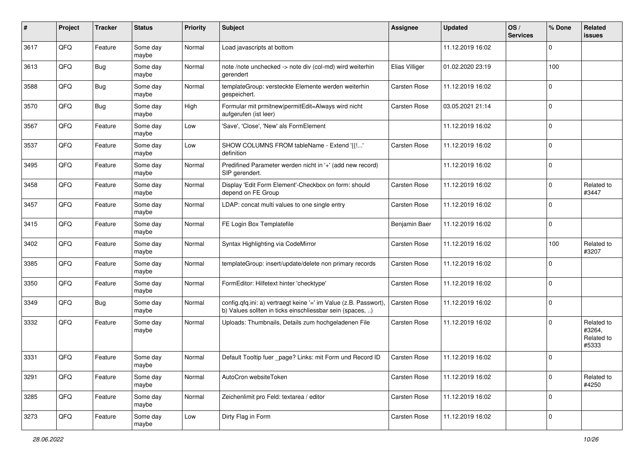| #    | Project | <b>Tracker</b> | <b>Status</b>     | <b>Priority</b> | Subject                                                                                                                       | Assignee            | <b>Updated</b>   | OS/<br><b>Services</b> | % Done       | Related<br><b>issues</b>                    |
|------|---------|----------------|-------------------|-----------------|-------------------------------------------------------------------------------------------------------------------------------|---------------------|------------------|------------------------|--------------|---------------------------------------------|
| 3617 | QFQ     | Feature        | Some day<br>maybe | Normal          | Load javascripts at bottom                                                                                                    |                     | 11.12.2019 16:02 |                        | 0            |                                             |
| 3613 | QFQ     | <b>Bug</b>     | Some day<br>maybe | Normal          | note /note unchecked -> note div (col-md) wird weiterhin<br>gerendert                                                         | Elias Villiger      | 01.02.2020 23:19 |                        | 100          |                                             |
| 3588 | QFQ     | Bug            | Some day<br>maybe | Normal          | templateGroup: versteckte Elemente werden weiterhin<br>gespeichert.                                                           | Carsten Rose        | 11.12.2019 16:02 |                        | 0            |                                             |
| 3570 | QFQ     | <b>Bug</b>     | Some day<br>maybe | High            | Formular mit prmitnew permitEdit=Always wird nicht<br>aufgerufen (ist leer)                                                   | Carsten Rose        | 03.05.2021 21:14 |                        | $\Omega$     |                                             |
| 3567 | QFQ     | Feature        | Some day<br>maybe | Low             | 'Save', 'Close', 'New' als FormElement                                                                                        |                     | 11.12.2019 16:02 |                        | $\Omega$     |                                             |
| 3537 | QFQ     | Feature        | Some day<br>maybe | Low             | SHOW COLUMNS FROM tableName - Extend '{{!'<br>definition                                                                      | <b>Carsten Rose</b> | 11.12.2019 16:02 |                        | $\Omega$     |                                             |
| 3495 | QFQ     | Feature        | Some day<br>maybe | Normal          | Predifined Parameter werden nicht in '+' (add new record)<br>SIP gerendert.                                                   |                     | 11.12.2019 16:02 |                        | $\Omega$     |                                             |
| 3458 | QFQ     | Feature        | Some day<br>maybe | Normal          | Display 'Edit Form Element'-Checkbox on form: should<br>depend on FE Group                                                    | <b>Carsten Rose</b> | 11.12.2019 16:02 |                        | 0            | Related to<br>#3447                         |
| 3457 | QFQ     | Feature        | Some day<br>maybe | Normal          | LDAP: concat multi values to one single entry                                                                                 | <b>Carsten Rose</b> | 11.12.2019 16:02 |                        | 0            |                                             |
| 3415 | QFQ     | Feature        | Some day<br>maybe | Normal          | FE Login Box Templatefile                                                                                                     | Benjamin Baer       | 11.12.2019 16:02 |                        | 0            |                                             |
| 3402 | QFQ     | Feature        | Some day<br>maybe | Normal          | Syntax Highlighting via CodeMirror                                                                                            | Carsten Rose        | 11.12.2019 16:02 |                        | 100          | Related to<br>#3207                         |
| 3385 | QFQ     | Feature        | Some day<br>maybe | Normal          | templateGroup: insert/update/delete non primary records                                                                       | Carsten Rose        | 11.12.2019 16:02 |                        | $\Omega$     |                                             |
| 3350 | QFQ     | Feature        | Some day<br>maybe | Normal          | FormEditor: Hilfetext hinter 'checktype'                                                                                      | <b>Carsten Rose</b> | 11.12.2019 16:02 |                        | $\Omega$     |                                             |
| 3349 | QFQ     | <b>Bug</b>     | Some day<br>maybe | Normal          | config.qfq.ini: a) vertraegt keine '=' im Value (z.B. Passwort),<br>b) Values sollten in ticks einschliessbar sein (spaces, ) | <b>Carsten Rose</b> | 11.12.2019 16:02 |                        | $\Omega$     |                                             |
| 3332 | QFQ     | Feature        | Some day<br>maybe | Normal          | Uploads: Thumbnails, Details zum hochgeladenen File                                                                           | <b>Carsten Rose</b> | 11.12.2019 16:02 |                        | 0            | Related to<br>#3264,<br>Related to<br>#5333 |
| 3331 | QFQ     | Feature        | Some day<br>maybe | Normal          | Default Tooltip fuer _page? Links: mit Form und Record ID                                                                     | <b>Carsten Rose</b> | 11.12.2019 16:02 |                        | <sup>0</sup> |                                             |
| 3291 | QFQ     | Feature        | Some day<br>maybe | Normal          | AutoCron websiteToken                                                                                                         | Carsten Rose        | 11.12.2019 16:02 |                        | 0            | Related to<br>#4250                         |
| 3285 | QFQ     | Feature        | Some day<br>maybe | Normal          | Zeichenlimit pro Feld: textarea / editor                                                                                      | Carsten Rose        | 11.12.2019 16:02 |                        | 0            |                                             |
| 3273 | QFQ     | Feature        | Some day<br>maybe | Low             | Dirty Flag in Form                                                                                                            | Carsten Rose        | 11.12.2019 16:02 |                        | $\mathbf 0$  |                                             |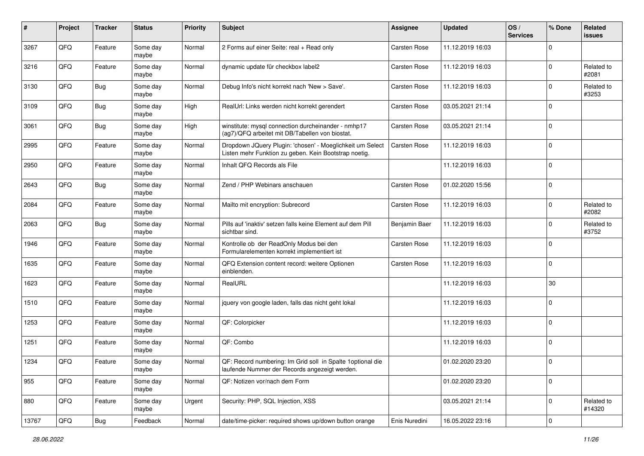| $\sharp$ | Project | <b>Tracker</b> | <b>Status</b>     | <b>Priority</b> | Subject                                                                                                            | Assignee            | <b>Updated</b>   | OS/<br><b>Services</b> | % Done       | Related<br><b>issues</b> |
|----------|---------|----------------|-------------------|-----------------|--------------------------------------------------------------------------------------------------------------------|---------------------|------------------|------------------------|--------------|--------------------------|
| 3267     | QFQ     | Feature        | Some day<br>maybe | Normal          | 2 Forms auf einer Seite: real + Read only                                                                          | <b>Carsten Rose</b> | 11.12.2019 16:03 |                        | 0            |                          |
| 3216     | QFQ     | Feature        | Some day<br>maybe | Normal          | dynamic update für checkbox label2                                                                                 | <b>Carsten Rose</b> | 11.12.2019 16:03 |                        | $\Omega$     | Related to<br>#2081      |
| 3130     | QFQ     | <b>Bug</b>     | Some day<br>maybe | Normal          | Debug Info's nicht korrekt nach 'New > Save'.                                                                      | Carsten Rose        | 11.12.2019 16:03 |                        | 0            | Related to<br>#3253      |
| 3109     | QFQ     | Bug            | Some day<br>maybe | High            | RealUrl: Links werden nicht korrekt gerendert                                                                      | <b>Carsten Rose</b> | 03.05.2021 21:14 |                        | 0            |                          |
| 3061     | QFQ     | Bug            | Some day<br>maybe | High            | winstitute: mysql connection durcheinander - nmhp17<br>(ag7)/QFQ arbeitet mit DB/Tabellen von biostat.             | <b>Carsten Rose</b> | 03.05.2021 21:14 |                        | 0            |                          |
| 2995     | QFQ     | Feature        | Some day<br>maybe | Normal          | Dropdown JQuery Plugin: 'chosen' - Moeglichkeit um Select<br>Listen mehr Funktion zu geben. Kein Bootstrap noetig. | Carsten Rose        | 11.12.2019 16:03 |                        | $\Omega$     |                          |
| 2950     | QFQ     | Feature        | Some day<br>maybe | Normal          | Inhalt QFQ Records als File                                                                                        |                     | 11.12.2019 16:03 |                        | $\Omega$     |                          |
| 2643     | QFQ     | <b>Bug</b>     | Some day<br>maybe | Normal          | Zend / PHP Webinars anschauen                                                                                      | <b>Carsten Rose</b> | 01.02.2020 15:56 |                        | 0            |                          |
| 2084     | QFQ     | Feature        | Some day<br>maybe | Normal          | Mailto mit encryption: Subrecord                                                                                   | <b>Carsten Rose</b> | 11.12.2019 16:03 |                        | 0            | Related to<br>#2082      |
| 2063     | QFQ     | <b>Bug</b>     | Some day<br>maybe | Normal          | Pills auf 'inaktiv' setzen falls keine Element auf dem Pill<br>sichtbar sind.                                      | Benjamin Baer       | 11.12.2019 16:03 |                        | <sup>0</sup> | Related to<br>#3752      |
| 1946     | QFQ     | Feature        | Some day<br>maybe | Normal          | Kontrolle ob der ReadOnly Modus bei den<br>Formularelementen korrekt implementiert ist                             | Carsten Rose        | 11.12.2019 16:03 |                        | $\Omega$     |                          |
| 1635     | QFQ     | Feature        | Some day<br>maybe | Normal          | QFQ Extension content record: weitere Optionen<br>einblenden.                                                      | Carsten Rose        | 11.12.2019 16:03 |                        | 0            |                          |
| 1623     | QFQ     | Feature        | Some day<br>maybe | Normal          | RealURL                                                                                                            |                     | 11.12.2019 16:03 |                        | 30           |                          |
| 1510     | QFQ     | Feature        | Some day<br>maybe | Normal          | jquery von google laden, falls das nicht geht lokal                                                                |                     | 11.12.2019 16:03 |                        | 0            |                          |
| 1253     | QFQ     | Feature        | Some day<br>maybe | Normal          | QF: Colorpicker                                                                                                    |                     | 11.12.2019 16:03 |                        | 0            |                          |
| 1251     | QFQ     | Feature        | Some day<br>maybe | Normal          | QF: Combo                                                                                                          |                     | 11.12.2019 16:03 |                        | 0            |                          |
| 1234     | QFQ     | Feature        | Some day<br>maybe | Normal          | QF: Record numbering: Im Grid soll in Spalte 1 optional die<br>laufende Nummer der Records angezeigt werden.       |                     | 01.02.2020 23:20 |                        | $\Omega$     |                          |
| 955      | QFQ     | Feature        | Some day<br>maybe | Normal          | QF: Notizen vor/nach dem Form                                                                                      |                     | 01.02.2020 23:20 |                        | $\mathbf 0$  |                          |
| 880      | QFQ     | Feature        | Some day<br>maybe | Urgent          | Security: PHP, SQL Injection, XSS                                                                                  |                     | 03.05.2021 21:14 |                        | 0            | Related to<br>#14320     |
| 13767    | QFQ     | Bug            | Feedback          | Normal          | date/time-picker: required shows up/down button orange                                                             | Enis Nuredini       | 16.05.2022 23:16 |                        | $\mathbf 0$  |                          |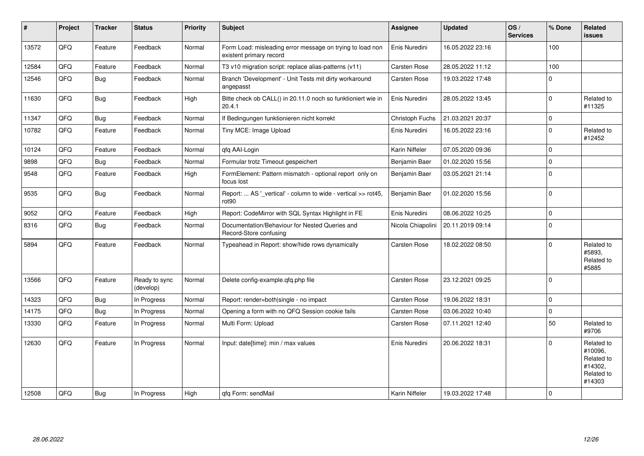| #     | Project | <b>Tracker</b> | <b>Status</b>              | <b>Priority</b> | <b>Subject</b>                                                                       | <b>Assignee</b>     | <b>Updated</b>   | OS/<br><b>Services</b> | % Done       | <b>Related</b><br><b>issues</b>                                        |
|-------|---------|----------------|----------------------------|-----------------|--------------------------------------------------------------------------------------|---------------------|------------------|------------------------|--------------|------------------------------------------------------------------------|
| 13572 | QFQ     | Feature        | Feedback                   | Normal          | Form Load: misleading error message on trying to load non<br>existent primary record | Enis Nuredini       | 16.05.2022 23:16 |                        | 100          |                                                                        |
| 12584 | QFQ     | Feature        | Feedback                   | Normal          | T3 v10 migration script: replace alias-patterns (v11)                                | Carsten Rose        | 28.05.2022 11:12 |                        | 100          |                                                                        |
| 12546 | QFQ     | <b>Bug</b>     | Feedback                   | Normal          | Branch 'Development' - Unit Tests mit dirty workaround<br>angepasst                  | <b>Carsten Rose</b> | 19.03.2022 17:48 |                        | $\mathbf 0$  |                                                                        |
| 11630 | QFQ     | Bug            | Feedback                   | High            | Bitte check ob CALL() in 20.11.0 noch so funktioniert wie in<br>20.4.1               | Enis Nuredini       | 28.05.2022 13:45 |                        | $\mathbf 0$  | Related to<br>#11325                                                   |
| 11347 | QFQ     | Bug            | Feedback                   | Normal          | If Bedingungen funktionieren nicht korrekt                                           | Christoph Fuchs     | 21.03.2021 20:37 |                        | $\mathbf 0$  |                                                                        |
| 10782 | QFQ     | Feature        | Feedback                   | Normal          | Tiny MCE: Image Upload                                                               | Enis Nuredini       | 16.05.2022 23:16 |                        | $\mathbf 0$  | Related to<br>#12452                                                   |
| 10124 | QFQ     | Feature        | Feedback                   | Normal          | qfq AAI-Login                                                                        | Karin Niffeler      | 07.05.2020 09:36 |                        | $\mathbf 0$  |                                                                        |
| 9898  | QFQ     | <b>Bug</b>     | Feedback                   | Normal          | Formular trotz Timeout gespeichert                                                   | Benjamin Baer       | 01.02.2020 15:56 |                        | $\mathbf 0$  |                                                                        |
| 9548  | QFQ     | Feature        | Feedback                   | High            | FormElement: Pattern mismatch - optional report only on<br>focus lost                | Benjamin Baer       | 03.05.2021 21:14 |                        | $\mathbf 0$  |                                                                        |
| 9535  | QFQ     | Bug            | Feedback                   | Normal          | Report:  AS '_vertical' - column to wide - vertical >> rot45,<br>rot90               | Benjamin Baer       | 01.02.2020 15:56 |                        | $\mathbf{0}$ |                                                                        |
| 9052  | QFQ     | Feature        | Feedback                   | High            | Report: CodeMirror with SQL Syntax Highlight in FE                                   | Enis Nuredini       | 08.06.2022 10:25 |                        | $\mathbf 0$  |                                                                        |
| 8316  | QFQ     | <b>Bug</b>     | Feedback                   | Normal          | Documentation/Behaviour for Nested Queries and<br>Record-Store confusing             | Nicola Chiapolini   | 20.11.2019 09:14 |                        | $\mathbf 0$  |                                                                        |
| 5894  | QFQ     | Feature        | Feedback                   | Normal          | Typeahead in Report: show/hide rows dynamically                                      | <b>Carsten Rose</b> | 18.02.2022 08:50 |                        | $\Omega$     | Related to<br>#5893.<br>Related to<br>#5885                            |
| 13566 | QFQ     | Feature        | Ready to sync<br>(develop) | Normal          | Delete config-example.gfg.php file                                                   | <b>Carsten Rose</b> | 23.12.2021 09:25 |                        | $\Omega$     |                                                                        |
| 14323 | QFQ     | Bug            | In Progress                | Normal          | Report: render=both single - no impact                                               | <b>Carsten Rose</b> | 19.06.2022 18:31 |                        | $\Omega$     |                                                                        |
| 14175 | QFQ     | Bug            | In Progress                | Normal          | Opening a form with no QFQ Session cookie fails                                      | <b>Carsten Rose</b> | 03.06.2022 10:40 |                        | $\mathbf 0$  |                                                                        |
| 13330 | QFQ     | Feature        | In Progress                | Normal          | Multi Form: Upload                                                                   | <b>Carsten Rose</b> | 07.11.2021 12:40 |                        | 50           | Related to<br>#9706                                                    |
| 12630 | QFQ     | Feature        | In Progress                | Normal          | Input: date[time]: min / max values                                                  | Enis Nuredini       | 20.06.2022 18:31 |                        | $\Omega$     | Related to<br>#10096,<br>Related to<br>#14302,<br>Related to<br>#14303 |
| 12508 | QFQ     | Bug            | In Progress                | High            | gfg Form: sendMail                                                                   | Karin Niffeler      | 19.03.2022 17:48 |                        | $\mathbf 0$  |                                                                        |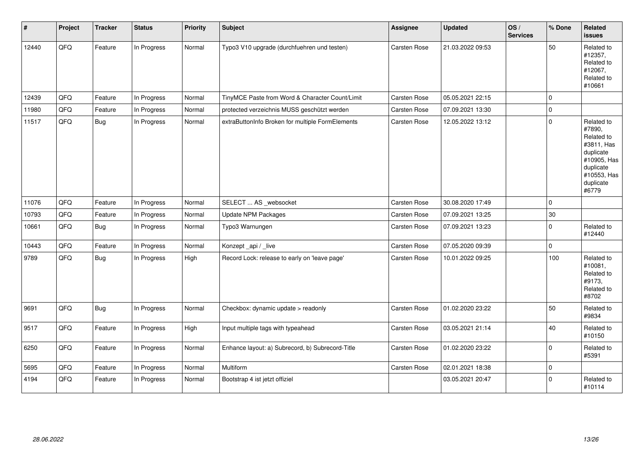| #     | Project | <b>Tracker</b> | <b>Status</b> | <b>Priority</b> | Subject                                          | Assignee            | <b>Updated</b>   | OS/<br><b>Services</b> | % Done      | Related<br><b>issues</b>                                                                                                       |
|-------|---------|----------------|---------------|-----------------|--------------------------------------------------|---------------------|------------------|------------------------|-------------|--------------------------------------------------------------------------------------------------------------------------------|
| 12440 | QFQ     | Feature        | In Progress   | Normal          | Typo3 V10 upgrade (durchfuehren und testen)      | Carsten Rose        | 21.03.2022 09:53 |                        | 50          | Related to<br>#12357,<br>Related to<br>#12067,<br>Related to<br>#10661                                                         |
| 12439 | QFQ     | Feature        | In Progress   | Normal          | TinyMCE Paste from Word & Character Count/Limit  | Carsten Rose        | 05.05.2021 22:15 |                        | $\mathbf 0$ |                                                                                                                                |
| 11980 | QFQ     | Feature        | In Progress   | Normal          | protected verzeichnis MUSS geschützt werden      | Carsten Rose        | 07.09.2021 13:30 |                        | $\pmb{0}$   |                                                                                                                                |
| 11517 | QFQ     | <b>Bug</b>     | In Progress   | Normal          | extraButtonInfo Broken for multiple FormElements | <b>Carsten Rose</b> | 12.05.2022 13:12 |                        | $\pmb{0}$   | Related to<br>#7890,<br>Related to<br>#3811, Has<br>duplicate<br>#10905, Has<br>duplicate<br>#10553, Has<br>duplicate<br>#6779 |
| 11076 | QFQ     | Feature        | In Progress   | Normal          | SELECT  AS _websocket                            | Carsten Rose        | 30.08.2020 17:49 |                        | $\pmb{0}$   |                                                                                                                                |
| 10793 | QFQ     | Feature        | In Progress   | Normal          | <b>Update NPM Packages</b>                       | Carsten Rose        | 07.09.2021 13:25 |                        | $30\,$      |                                                                                                                                |
| 10661 | QFQ     | <b>Bug</b>     | In Progress   | Normal          | Typo3 Warnungen                                  | <b>Carsten Rose</b> | 07.09.2021 13:23 |                        | $\pmb{0}$   | Related to<br>#12440                                                                                                           |
| 10443 | QFQ     | Feature        | In Progress   | Normal          | Konzept_api / _live                              | Carsten Rose        | 07.05.2020 09:39 |                        | $\mathbf 0$ |                                                                                                                                |
| 9789  | QFQ     | <b>Bug</b>     | In Progress   | High            | Record Lock: release to early on 'leave page'    | Carsten Rose        | 10.01.2022 09:25 |                        | 100         | Related to<br>#10081,<br>Related to<br>#9173,<br>Related to<br>#8702                                                           |
| 9691  | QFQ     | <b>Bug</b>     | In Progress   | Normal          | Checkbox: dynamic update > readonly              | Carsten Rose        | 01.02.2020 23:22 |                        | 50          | Related to<br>#9834                                                                                                            |
| 9517  | QFQ     | Feature        | In Progress   | High            | Input multiple tags with typeahead               | Carsten Rose        | 03.05.2021 21:14 |                        | 40          | Related to<br>#10150                                                                                                           |
| 6250  | QFQ     | Feature        | In Progress   | Normal          | Enhance layout: a) Subrecord, b) Subrecord-Title | Carsten Rose        | 01.02.2020 23:22 |                        | $\mathbf 0$ | Related to<br>#5391                                                                                                            |
| 5695  | QFQ     | Feature        | In Progress   | Normal          | Multiform                                        | Carsten Rose        | 02.01.2021 18:38 |                        | $\pmb{0}$   |                                                                                                                                |
| 4194  | QFQ     | Feature        | In Progress   | Normal          | Bootstrap 4 ist jetzt offiziel                   |                     | 03.05.2021 20:47 |                        | $\Omega$    | Related to<br>#10114                                                                                                           |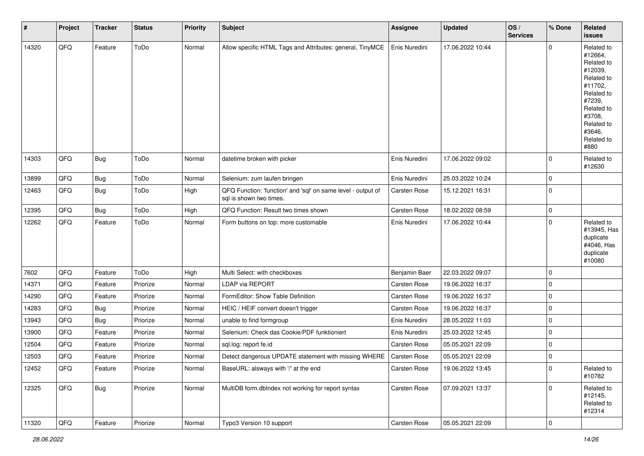| $\sharp$ | Project | <b>Tracker</b> | <b>Status</b> | <b>Priority</b> | Subject                                                                                 | <b>Assignee</b>     | <b>Updated</b>   | OS/<br><b>Services</b> | % Done         | Related<br><b>issues</b>                                                                                                                                              |
|----------|---------|----------------|---------------|-----------------|-----------------------------------------------------------------------------------------|---------------------|------------------|------------------------|----------------|-----------------------------------------------------------------------------------------------------------------------------------------------------------------------|
| 14320    | QFQ     | Feature        | ToDo          | Normal          | Allow specific HTML Tags and Attributes: general, TinyMCE                               | Enis Nuredini       | 17.06.2022 10:44 |                        | $\mathbf 0$    | Related to<br>#12664,<br>Related to<br>#12039,<br>Related to<br>#11702,<br>Related to<br>#7239,<br>Related to<br>#3708,<br>Related to<br>#3646,<br>Related to<br>#880 |
| 14303    | QFQ     | <b>Bug</b>     | ToDo          | Normal          | datetime broken with picker                                                             | Enis Nuredini       | 17.06.2022 09:02 |                        | $\overline{0}$ | Related to<br>#12630                                                                                                                                                  |
| 13899    | QFQ     | Bug            | ToDo          | Normal          | Selenium: zum laufen bringen                                                            | Enis Nuredini       | 25.03.2022 10:24 |                        | 0              |                                                                                                                                                                       |
| 12463    | QFQ     | <b>Bug</b>     | ToDo          | High            | QFQ Function: 'function' and 'sql' on same level - output of<br>sal is shown two times. | <b>Carsten Rose</b> | 15.12.2021 16:31 |                        | $\mathbf 0$    |                                                                                                                                                                       |
| 12395    | QFQ     | <b>Bug</b>     | ToDo          | High            | QFQ Function: Result two times shown                                                    | Carsten Rose        | 18.02.2022 08:59 |                        | $\mathbf 0$    |                                                                                                                                                                       |
| 12262    | QFQ     | Feature        | ToDo          | Normal          | Form buttons on top: more customable                                                    | Enis Nuredini       | 17.06.2022 10:44 |                        | $\mathbf 0$    | Related to<br>#13945, Has<br>duplicate<br>#4046, Has<br>duplicate<br>#10080                                                                                           |
| 7602     | QFQ     | Feature        | ToDo          | High            | Multi Select: with checkboxes                                                           | Benjamin Baer       | 22.03.2022 09:07 |                        | $\mathbf 0$    |                                                                                                                                                                       |
| 14371    | QFQ     | Feature        | Priorize      | Normal          | LDAP via REPORT                                                                         | <b>Carsten Rose</b> | 19.06.2022 16:37 |                        | $\mathbf 0$    |                                                                                                                                                                       |
| 14290    | QFQ     | Feature        | Priorize      | Normal          | FormEditor: Show Table Definition                                                       | Carsten Rose        | 19.06.2022 16:37 |                        | $\pmb{0}$      |                                                                                                                                                                       |
| 14283    | QFQ     | <b>Bug</b>     | Priorize      | Normal          | HEIC / HEIF convert doesn't trigger                                                     | Carsten Rose        | 19.06.2022 16:37 |                        | $\mathbf 0$    |                                                                                                                                                                       |
| 13943    | QFQ     | <b>Bug</b>     | Priorize      | Normal          | unable to find formgroup                                                                | Enis Nuredini       | 28.05.2022 11:03 |                        | $\mathbf 0$    |                                                                                                                                                                       |
| 13900    | QFQ     | Feature        | Priorize      | Normal          | Selenium: Check das Cookie/PDF funktioniert                                             | Enis Nuredini       | 25.03.2022 12:45 |                        | $\mathbf 0$    |                                                                                                                                                                       |
| 12504    | QFQ     | Feature        | Priorize      | Normal          | sql.log: report fe.id                                                                   | Carsten Rose        | 05.05.2021 22:09 |                        | $\mathbf 0$    |                                                                                                                                                                       |
| 12503    | QFQ     | Feature        | Priorize      | Normal          | Detect dangerous UPDATE statement with missing WHERE                                    | Carsten Rose        | 05.05.2021 22:09 |                        | $\pmb{0}$      |                                                                                                                                                                       |
| 12452    | QFQ     | Feature        | Priorize      | Normal          | BaseURL: alsways with '/' at the end                                                    | <b>Carsten Rose</b> | 19.06.2022 13:45 |                        | $\mathbf 0$    | Related to<br>#10782                                                                                                                                                  |
| 12325    | QFQ     | <b>Bug</b>     | Priorize      | Normal          | MultiDB form.dbIndex not working for report syntax                                      | Carsten Rose        | 07.09.2021 13:37 |                        | $\mathbf 0$    | Related to<br>#12145,<br>Related to<br>#12314                                                                                                                         |
| 11320    | QFQ     | Feature        | Priorize      | Normal          | Typo3 Version 10 support                                                                | Carsten Rose        | 05.05.2021 22:09 |                        | $\mathbf 0$    |                                                                                                                                                                       |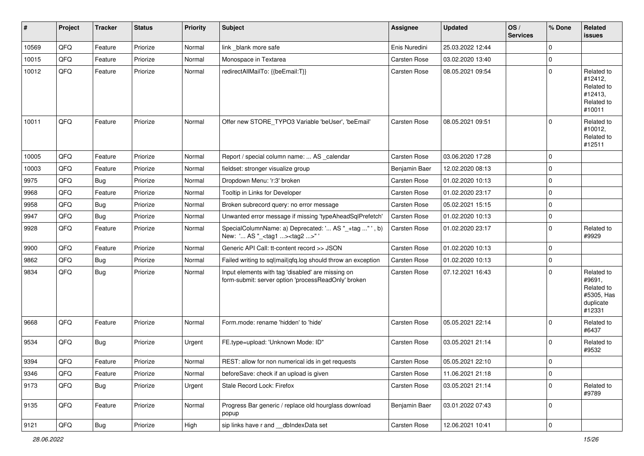| #     | Project        | <b>Tracker</b> | <b>Status</b> | <b>Priority</b> | Subject                                                                                                  | <b>Assignee</b>     | <b>Updated</b>   | OS/<br><b>Services</b> | % Done      | Related<br><b>issues</b>                                                |
|-------|----------------|----------------|---------------|-----------------|----------------------------------------------------------------------------------------------------------|---------------------|------------------|------------------------|-------------|-------------------------------------------------------------------------|
| 10569 | QFQ            | Feature        | Priorize      | Normal          | link _blank more safe                                                                                    | Enis Nuredini       | 25.03.2022 12:44 |                        | $\mathbf 0$ |                                                                         |
| 10015 | QFQ            | Feature        | Priorize      | Normal          | Monospace in Textarea                                                                                    | <b>Carsten Rose</b> | 03.02.2020 13:40 |                        | $\mathbf 0$ |                                                                         |
| 10012 | QFQ            | Feature        | Priorize      | Normal          | redirectAllMailTo: {{beEmail:T}}                                                                         | Carsten Rose        | 08.05.2021 09:54 |                        | $\mathbf 0$ | Related to<br>#12412,<br>Related to<br>#12413,<br>Related to<br>#10011  |
| 10011 | QFQ            | Feature        | Priorize      | Normal          | Offer new STORE_TYPO3 Variable 'beUser', 'beEmail'                                                       | <b>Carsten Rose</b> | 08.05.2021 09:51 |                        | $\Omega$    | Related to<br>#10012,<br>Related to<br>#12511                           |
| 10005 | QFQ            | Feature        | Priorize      | Normal          | Report / special column name:  AS _calendar                                                              | <b>Carsten Rose</b> | 03.06.2020 17:28 |                        | $\mathbf 0$ |                                                                         |
| 10003 | QFQ            | Feature        | Priorize      | Normal          | fieldset: stronger visualize group                                                                       | Benjamin Baer       | 12.02.2020 08:13 |                        | $\mathbf 0$ |                                                                         |
| 9975  | QFQ            | Bug            | Priorize      | Normal          | Dropdown Menu: 'r:3' broken                                                                              | <b>Carsten Rose</b> | 01.02.2020 10:13 |                        | $\mathbf 0$ |                                                                         |
| 9968  | QFQ            | Feature        | Priorize      | Normal          | Tooltip in Links for Developer                                                                           | <b>Carsten Rose</b> | 01.02.2020 23:17 |                        | $\mathbf 0$ |                                                                         |
| 9958  | QFQ            | Bug            | Priorize      | Normal          | Broken subrecord query: no error message                                                                 | Carsten Rose        | 05.02.2021 15:15 |                        | $\mathbf 0$ |                                                                         |
| 9947  | QFQ            | <b>Bug</b>     | Priorize      | Normal          | Unwanted error message if missing 'typeAheadSqlPrefetch'                                                 | <b>Carsten Rose</b> | 01.02.2020 10:13 |                        | $\mathbf 0$ |                                                                         |
| 9928  | QFQ            | Feature        | Priorize      | Normal          | SpecialColumnName: a) Deprecated: ' AS "_+tag " ', b)<br>New: ' AS "_ <tag1><tag2>"</tag2></tag1>        | Carsten Rose        | 01.02.2020 23:17 |                        | $\mathbf 0$ | Related to<br>#9929                                                     |
| 9900  | QFQ            | Feature        | Priorize      | Normal          | Generic API Call: tt-content record >> JSON                                                              | Carsten Rose        | 01.02.2020 10:13 |                        | $\mathbf 0$ |                                                                         |
| 9862  | QFQ            | Bug            | Priorize      | Normal          | Failed writing to sql mail qfq.log should throw an exception                                             | <b>Carsten Rose</b> | 01.02.2020 10:13 |                        | $\mathbf 0$ |                                                                         |
| 9834  | QFQ            | <b>Bug</b>     | Priorize      | Normal          | Input elements with tag 'disabled' are missing on<br>form-submit: server option 'processReadOnly' broken | Carsten Rose        | 07.12.2021 16:43 |                        | $\mathbf 0$ | Related to<br>#9691,<br>Related to<br>#5305, Has<br>duplicate<br>#12331 |
| 9668  | QFQ            | Feature        | Priorize      | Normal          | Form.mode: rename 'hidden' to 'hide'                                                                     | <b>Carsten Rose</b> | 05.05.2021 22:14 |                        | $\mathbf 0$ | Related to<br>#6437                                                     |
| 9534  | QFQ            | Bug            | Priorize      | Urgent          | FE.type=upload: 'Unknown Mode: ID"                                                                       | Carsten Rose        | 03.05.2021 21:14 |                        | $\mathbf 0$ | Related to<br>#9532                                                     |
| 9394  | QFQ            | Feature        | Priorize      | Normal          | REST: allow for non numerical ids in get requests                                                        | <b>Carsten Rose</b> | 05.05.2021 22:10 |                        | $\Omega$    |                                                                         |
| 9346  | QFQ            | Feature        | Priorize      | Normal          | beforeSave: check if an upload is given                                                                  | Carsten Rose        | 11.06.2021 21:18 |                        | $\mathbf 0$ |                                                                         |
| 9173  | QFQ            | <b>Bug</b>     | Priorize      | Urgent          | Stale Record Lock: Firefox                                                                               | Carsten Rose        | 03.05.2021 21:14 |                        | $\mathbf 0$ | Related to<br>#9789                                                     |
| 9135  | QFQ            | Feature        | Priorize      | Normal          | Progress Bar generic / replace old hourglass download<br>popup                                           | Benjamin Baer       | 03.01.2022 07:43 |                        | $\mathbf 0$ |                                                                         |
| 9121  | $\mathsf{QFQ}$ | Bug            | Priorize      | High            | sip links have r and __dbIndexData set                                                                   | Carsten Rose        | 12.06.2021 10:41 |                        | $\pmb{0}$   |                                                                         |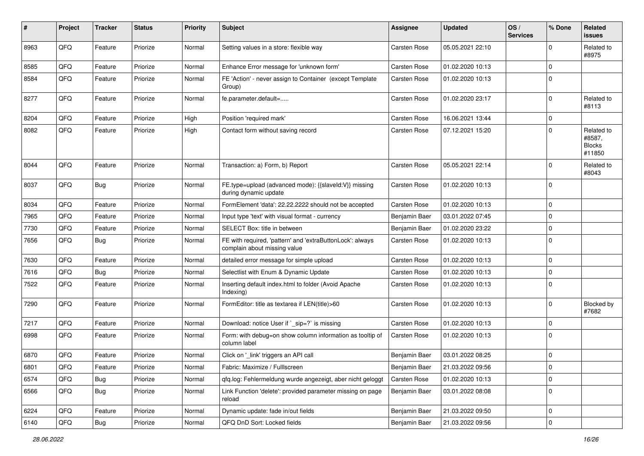| $\#$ | Project | <b>Tracker</b> | <b>Status</b> | <b>Priority</b> | <b>Subject</b>                                                                            | <b>Assignee</b>     | <b>Updated</b>   | OS/<br><b>Services</b> | % Done         | Related<br><b>issues</b>                        |
|------|---------|----------------|---------------|-----------------|-------------------------------------------------------------------------------------------|---------------------|------------------|------------------------|----------------|-------------------------------------------------|
| 8963 | QFQ     | Feature        | Priorize      | Normal          | Setting values in a store: flexible way                                                   | <b>Carsten Rose</b> | 05.05.2021 22:10 |                        | $\mathbf 0$    | Related to<br>#8975                             |
| 8585 | QFQ     | Feature        | Priorize      | Normal          | Enhance Error message for 'unknown form'                                                  | <b>Carsten Rose</b> | 01.02.2020 10:13 |                        | $\mathbf 0$    |                                                 |
| 8584 | QFQ     | Feature        | Priorize      | Normal          | FE 'Action' - never assign to Container (except Template<br>Group)                        | <b>Carsten Rose</b> | 01.02.2020 10:13 |                        | $\overline{0}$ |                                                 |
| 8277 | QFQ     | Feature        | Priorize      | Normal          | fe.parameter.default=                                                                     | <b>Carsten Rose</b> | 01.02.2020 23:17 |                        | $\mathbf 0$    | Related to<br>#8113                             |
| 8204 | QFQ     | Feature        | Priorize      | High            | Position 'required mark'                                                                  | <b>Carsten Rose</b> | 16.06.2021 13:44 |                        | $\mathbf 0$    |                                                 |
| 8082 | QFQ     | Feature        | Priorize      | High            | Contact form without saving record                                                        | <b>Carsten Rose</b> | 07.12.2021 15:20 |                        | $\mathbf 0$    | Related to<br>#8587,<br><b>Blocks</b><br>#11850 |
| 8044 | QFQ     | Feature        | Priorize      | Normal          | Transaction: a) Form, b) Report                                                           | <b>Carsten Rose</b> | 05.05.2021 22:14 |                        | $\mathbf 0$    | Related to<br>#8043                             |
| 8037 | QFQ     | <b>Bug</b>     | Priorize      | Normal          | FE.type=upload (advanced mode): {{slaveId:V}} missing<br>during dynamic update            | <b>Carsten Rose</b> | 01.02.2020 10:13 |                        | $\mathbf 0$    |                                                 |
| 8034 | QFQ     | Feature        | Priorize      | Normal          | FormElement 'data': 22.22.2222 should not be accepted                                     | Carsten Rose        | 01.02.2020 10:13 |                        | $\pmb{0}$      |                                                 |
| 7965 | QFQ     | Feature        | Priorize      | Normal          | Input type 'text' with visual format - currency                                           | Benjamin Baer       | 03.01.2022 07:45 |                        | $\mathbf 0$    |                                                 |
| 7730 | QFQ     | Feature        | Priorize      | Normal          | SELECT Box: title in between                                                              | Benjamin Baer       | 01.02.2020 23:22 |                        | $\mathbf 0$    |                                                 |
| 7656 | QFQ     | <b>Bug</b>     | Priorize      | Normal          | FE with required, 'pattern' and 'extraButtonLock': always<br>complain about missing value | <b>Carsten Rose</b> | 01.02.2020 10:13 |                        | $\mathbf 0$    |                                                 |
| 7630 | QFQ     | Feature        | Priorize      | Normal          | detailed error message for simple upload                                                  | <b>Carsten Rose</b> | 01.02.2020 10:13 |                        | $\mathbf 0$    |                                                 |
| 7616 | QFQ     | <b>Bug</b>     | Priorize      | Normal          | Selectlist with Enum & Dynamic Update                                                     | Carsten Rose        | 01.02.2020 10:13 |                        | $\mathbf 0$    |                                                 |
| 7522 | QFQ     | Feature        | Priorize      | Normal          | Inserting default index.html to folder (Avoid Apache<br>Indexing)                         | <b>Carsten Rose</b> | 01.02.2020 10:13 |                        | $\mathbf 0$    |                                                 |
| 7290 | QFQ     | Feature        | Priorize      | Normal          | FormEditor: title as textarea if LEN(title)>60                                            | <b>Carsten Rose</b> | 01.02.2020 10:13 |                        | $\overline{0}$ | Blocked by<br>#7682                             |
| 7217 | QFQ     | Feature        | Priorize      | Normal          | Download: notice User if `_sip=?` is missing                                              | <b>Carsten Rose</b> | 01.02.2020 10:13 |                        | $\mathbf 0$    |                                                 |
| 6998 | QFQ     | Feature        | Priorize      | Normal          | Form: with debug=on show column information as tooltip of<br>column label                 | <b>Carsten Rose</b> | 01.02.2020 10:13 |                        | $\overline{0}$ |                                                 |
| 6870 | QFQ     | Feature        | Priorize      | Normal          | Click on '_link' triggers an API call                                                     | Benjamin Baer       | 03.01.2022 08:25 |                        | $\mathbf 0$    |                                                 |
| 6801 | QFQ     | Feature        | Priorize      | Normal          | Fabric: Maximize / FullIscreen                                                            | Benjamin Baer       | 21.03.2022 09:56 |                        | 0              |                                                 |
| 6574 | QFQ     | <b>Bug</b>     | Priorize      | Normal          | qfq.log: Fehlermeldung wurde angezeigt, aber nicht geloggt                                | Carsten Rose        | 01.02.2020 10:13 |                        | $\pmb{0}$      |                                                 |
| 6566 | QFQ     | <b>Bug</b>     | Priorize      | Normal          | Link Function 'delete': provided parameter missing on page<br>reload                      | Benjamin Baer       | 03.01.2022 08:08 |                        | $\mathbf 0$    |                                                 |
| 6224 | QFQ     | Feature        | Priorize      | Normal          | Dynamic update: fade in/out fields                                                        | Benjamin Baer       | 21.03.2022 09:50 |                        | $\mathbf 0$    |                                                 |
| 6140 | QFQ     | Bug            | Priorize      | Normal          | QFQ DnD Sort: Locked fields                                                               | Benjamin Baer       | 21.03.2022 09:56 |                        | $\mathbf 0$    |                                                 |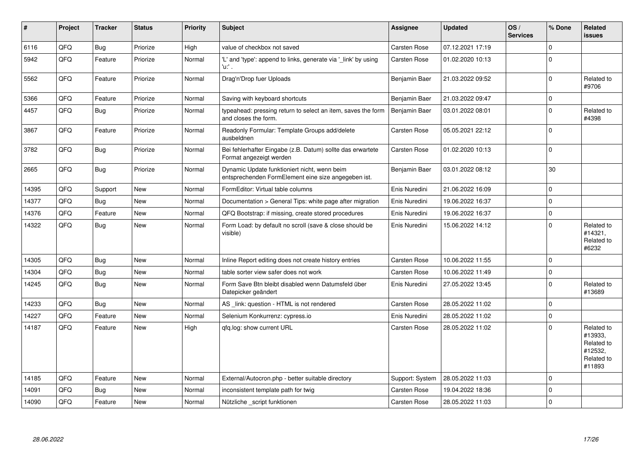| #     | Project | <b>Tracker</b> | <b>Status</b> | <b>Priority</b> | <b>Subject</b>                                                                                      | <b>Assignee</b>      | <b>Updated</b>   | OS/<br><b>Services</b> | % Done       | Related<br><b>issues</b>                                               |
|-------|---------|----------------|---------------|-----------------|-----------------------------------------------------------------------------------------------------|----------------------|------------------|------------------------|--------------|------------------------------------------------------------------------|
| 6116  | QFQ     | <b>Bug</b>     | Priorize      | High            | value of checkbox not saved                                                                         | <b>Carsten Rose</b>  | 07.12.2021 17:19 |                        | $\Omega$     |                                                                        |
| 5942  | QFQ     | Feature        | Priorize      | Normal          | 'L' and 'type': append to links, generate via '_link' by using<br>'u:' .                            | Carsten Rose         | 01.02.2020 10:13 |                        | $\mathbf{0}$ |                                                                        |
| 5562  | QFQ     | Feature        | Priorize      | Normal          | Drag'n'Drop fuer Uploads                                                                            | <b>Benjamin Baer</b> | 21.03.2022 09:52 |                        | $\Omega$     | Related to<br>#9706                                                    |
| 5366  | QFQ     | Feature        | Priorize      | Normal          | Saving with keyboard shortcuts                                                                      | Benjamin Baer        | 21.03.2022 09:47 |                        | $\mathbf 0$  |                                                                        |
| 4457  | QFQ     | <b>Bug</b>     | Priorize      | Normal          | typeahead: pressing return to select an item, saves the form<br>and closes the form.                | Benjamin Baer        | 03.01.2022 08:01 |                        | $\mathbf 0$  | Related to<br>#4398                                                    |
| 3867  | QFQ     | Feature        | Priorize      | Normal          | Readonly Formular: Template Groups add/delete<br>ausbeldnen                                         | Carsten Rose         | 05.05.2021 22:12 |                        | $\Omega$     |                                                                        |
| 3782  | QFQ     | <b>Bug</b>     | Priorize      | Normal          | Bei fehlerhafter Eingabe (z.B. Datum) sollte das erwartete<br>Format angezeigt werden               | <b>Carsten Rose</b>  | 01.02.2020 10:13 |                        | $\Omega$     |                                                                        |
| 2665  | QFQ     | <b>Bug</b>     | Priorize      | Normal          | Dynamic Update funktioniert nicht, wenn beim<br>entsprechenden FormElement eine size angegeben ist. | Benjamin Baer        | 03.01.2022 08:12 |                        | 30           |                                                                        |
| 14395 | QFQ     | Support        | <b>New</b>    | Normal          | FormEditor: Virtual table columns                                                                   | Enis Nuredini        | 21.06.2022 16:09 |                        | $\Omega$     |                                                                        |
| 14377 | QFQ     | Bug            | <b>New</b>    | Normal          | Documentation > General Tips: white page after migration                                            | Enis Nuredini        | 19.06.2022 16:37 |                        | $\Omega$     |                                                                        |
| 14376 | QFQ     | Feature        | New           | Normal          | QFQ Bootstrap: if missing, create stored procedures                                                 | Enis Nuredini        | 19.06.2022 16:37 |                        | $\Omega$     |                                                                        |
| 14322 | QFQ     | <b>Bug</b>     | New           | Normal          | Form Load: by default no scroll (save & close should be<br>visible)                                 | Enis Nuredini        | 15.06.2022 14:12 |                        | $\Omega$     | Related to<br>#14321,<br>Related to<br>#6232                           |
| 14305 | QFQ     | <b>Bug</b>     | <b>New</b>    | Normal          | Inline Report editing does not create history entries                                               | Carsten Rose         | 10.06.2022 11:55 |                        | $\Omega$     |                                                                        |
| 14304 | QFQ     | <b>Bug</b>     | New           | Normal          | table sorter view safer does not work                                                               | <b>Carsten Rose</b>  | 10.06.2022 11:49 |                        | $\mathbf 0$  |                                                                        |
| 14245 | QFQ     | <b>Bug</b>     | New           | Normal          | Form Save Btn bleibt disabled wenn Datumsfeld über<br>Datepicker geändert                           | Enis Nuredini        | 27.05.2022 13:45 |                        | $\mathbf 0$  | Related to<br>#13689                                                   |
| 14233 | QFQ     | Bug            | <b>New</b>    | Normal          | AS link: question - HTML is not rendered                                                            | Carsten Rose         | 28.05.2022 11:02 |                        | $\mathbf{0}$ |                                                                        |
| 14227 | QFQ     | Feature        | New           | Normal          | Selenium Konkurrenz: cypress.io                                                                     | Enis Nuredini        | 28.05.2022 11:02 |                        | $\Omega$     |                                                                        |
| 14187 | QFQ     | Feature        | New           | High            | gfg.log: show current URL                                                                           | Carsten Rose         | 28.05.2022 11:02 |                        | $\Omega$     | Related to<br>#13933.<br>Related to<br>#12532,<br>Related to<br>#11893 |
| 14185 | QFQ     | Feature        | <b>New</b>    | Normal          | External/Autocron.php - better suitable directory                                                   | Support: System      | 28.05.2022 11:03 |                        | $\Omega$     |                                                                        |
| 14091 | QFQ     | Bug            | New           | Normal          | inconsistent template path for twig                                                                 | Carsten Rose         | 19.04.2022 18:36 |                        | $\mathbf{0}$ |                                                                        |
| 14090 | QFQ     | Feature        | New           | Normal          | Nützliche script funktionen                                                                         | Carsten Rose         | 28.05.2022 11:03 |                        | $\Omega$     |                                                                        |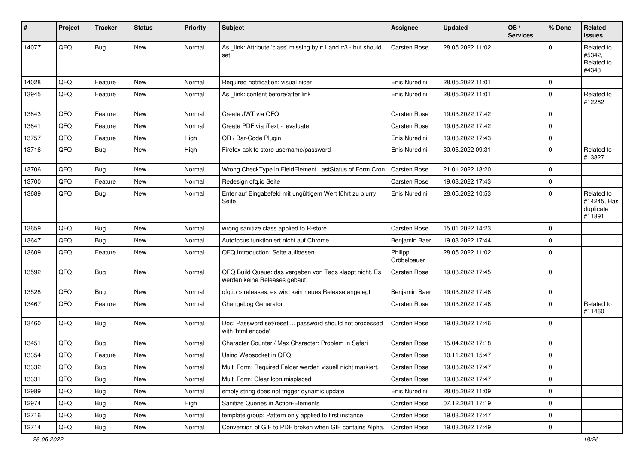| ∦     | Project | <b>Tracker</b> | <b>Status</b> | <b>Priority</b> | Subject                                                                                  | <b>Assignee</b>        | <b>Updated</b>   | OS/<br><b>Services</b> | % Done         | Related<br><b>issues</b>                         |
|-------|---------|----------------|---------------|-----------------|------------------------------------------------------------------------------------------|------------------------|------------------|------------------------|----------------|--------------------------------------------------|
| 14077 | QFQ     | <b>Bug</b>     | <b>New</b>    | Normal          | As _link: Attribute 'class' missing by r:1 and r:3 - but should<br>set                   | Carsten Rose           | 28.05.2022 11:02 |                        | $\mathbf 0$    | Related to<br>#5342.<br>Related to<br>#4343      |
| 14028 | QFQ     | Feature        | <b>New</b>    | Normal          | Required notification: visual nicer                                                      | Enis Nuredini          | 28.05.2022 11:01 |                        | $\mathbf 0$    |                                                  |
| 13945 | QFQ     | Feature        | New           | Normal          | As _link: content before/after link                                                      | Enis Nuredini          | 28.05.2022 11:01 |                        | $\overline{0}$ | Related to<br>#12262                             |
| 13843 | QFQ     | Feature        | <b>New</b>    | Normal          | Create JWT via QFQ                                                                       | <b>Carsten Rose</b>    | 19.03.2022 17:42 |                        | $\mathbf 0$    |                                                  |
| 13841 | QFQ     | Feature        | <b>New</b>    | Normal          | Create PDF via iText - evaluate                                                          | <b>Carsten Rose</b>    | 19.03.2022 17:42 |                        | $\mathbf 0$    |                                                  |
| 13757 | QFQ     | Feature        | New           | High            | QR / Bar-Code Plugin                                                                     | Enis Nuredini          | 19.03.2022 17:43 |                        | $\mathbf 0$    |                                                  |
| 13716 | QFQ     | <b>Bug</b>     | New           | High            | Firefox ask to store username/password                                                   | Enis Nuredini          | 30.05.2022 09:31 |                        | $\overline{0}$ | Related to<br>#13827                             |
| 13706 | QFQ     | <b>Bug</b>     | <b>New</b>    | Normal          | Wrong CheckType in FieldElement LastStatus of Form Cron                                  | <b>Carsten Rose</b>    | 21.01.2022 18:20 |                        | $\mathbf 0$    |                                                  |
| 13700 | QFQ     | Feature        | New           | Normal          | Redesign qfq.io Seite                                                                    | <b>Carsten Rose</b>    | 19.03.2022 17:43 |                        | $\mathbf 0$    |                                                  |
| 13689 | QFQ     | <b>Bug</b>     | <b>New</b>    | Normal          | Enter auf Eingabefeld mit ungültigem Wert führt zu blurry<br>Seite                       | Enis Nuredini          | 28.05.2022 10:53 |                        | $\Omega$       | Related to<br>#14245, Has<br>duplicate<br>#11891 |
| 13659 | QFQ     | <b>Bug</b>     | <b>New</b>    | Normal          | wrong sanitize class applied to R-store                                                  | <b>Carsten Rose</b>    | 15.01.2022 14:23 |                        | $\mathbf 0$    |                                                  |
| 13647 | QFQ     | <b>Bug</b>     | <b>New</b>    | Normal          | Autofocus funktioniert nicht auf Chrome                                                  | Benjamin Baer          | 19.03.2022 17:44 |                        | $\mathbf 0$    |                                                  |
| 13609 | QFQ     | Feature        | New           | Normal          | QFQ Introduction: Seite aufloesen                                                        | Philipp<br>Gröbelbauer | 28.05.2022 11:02 |                        | $\overline{0}$ |                                                  |
| 13592 | QFQ     | <b>Bug</b>     | New           | Normal          | QFQ Build Queue: das vergeben von Tags klappt nicht. Es<br>werden keine Releases gebaut. | <b>Carsten Rose</b>    | 19.03.2022 17:45 |                        | $\mathbf 0$    |                                                  |
| 13528 | QFQ     | <b>Bug</b>     | <b>New</b>    | Normal          | qfq.io > releases: es wird kein neues Release angelegt                                   | Benjamin Baer          | 19.03.2022 17:46 |                        | $\mathbf 0$    |                                                  |
| 13467 | QFQ     | Feature        | <b>New</b>    | Normal          | ChangeLog Generator                                                                      | <b>Carsten Rose</b>    | 19.03.2022 17:46 |                        | $\mathbf 0$    | Related to<br>#11460                             |
| 13460 | QFQ     | <b>Bug</b>     | <b>New</b>    | Normal          | Doc: Password set/reset  password should not processed<br>with 'html encode'             | Carsten Rose           | 19.03.2022 17:46 |                        | $\mathbf 0$    |                                                  |
| 13451 | QFQ     | <b>Bug</b>     | <b>New</b>    | Normal          | Character Counter / Max Character: Problem in Safari                                     | Carsten Rose           | 15.04.2022 17:18 |                        | $\mathbf 0$    |                                                  |
| 13354 | QFQ     | Feature        | New           | Normal          | Using Websocket in QFQ                                                                   | <b>Carsten Rose</b>    | 10.11.2021 15:47 |                        | $\mathbf 0$    |                                                  |
| 13332 | QFQ     | <b>Bug</b>     | <b>New</b>    | Normal          | Multi Form: Required Felder werden visuell nicht markiert.                               | Carsten Rose           | 19.03.2022 17:47 |                        | $\mathbf 0$    |                                                  |
| 13331 | QFQ     | <b>Bug</b>     | New           | Normal          | Multi Form: Clear Icon misplaced                                                         | Carsten Rose           | 19.03.2022 17:47 |                        | $\mathbf 0$    |                                                  |
| 12989 | QFQ     | <b>Bug</b>     | New           | Normal          | empty string does not trigger dynamic update                                             | Enis Nuredini          | 28.05.2022 11:09 |                        | $\mathbf 0$    |                                                  |
| 12974 | QFQ     | <b>Bug</b>     | New           | High            | Sanitize Queries in Action-Elements                                                      | Carsten Rose           | 07.12.2021 17:19 |                        | 0              |                                                  |
| 12716 | QFQ     | <b>Bug</b>     | New           | Normal          | template group: Pattern only applied to first instance                                   | Carsten Rose           | 19.03.2022 17:47 |                        | $\mathbf 0$    |                                                  |
| 12714 | QFQ     | Bug            | New           | Normal          | Conversion of GIF to PDF broken when GIF contains Alpha.                                 | <b>Carsten Rose</b>    | 19.03.2022 17:49 |                        | $\pmb{0}$      |                                                  |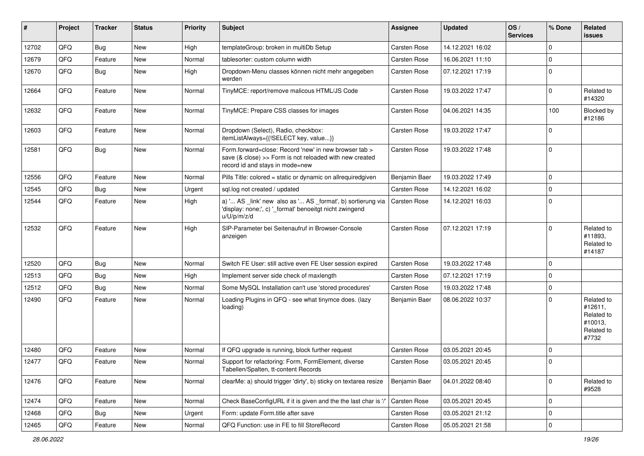| #     | Project | <b>Tracker</b> | <b>Status</b> | <b>Priority</b> | Subject                                                                                                                                             | <b>Assignee</b>     | <b>Updated</b>   | OS/<br><b>Services</b> | % Done              | Related<br><b>issues</b>                                              |
|-------|---------|----------------|---------------|-----------------|-----------------------------------------------------------------------------------------------------------------------------------------------------|---------------------|------------------|------------------------|---------------------|-----------------------------------------------------------------------|
| 12702 | QFQ     | Bug            | <b>New</b>    | High            | templateGroup: broken in multiDb Setup                                                                                                              | <b>Carsten Rose</b> | 14.12.2021 16:02 |                        | $\Omega$            |                                                                       |
| 12679 | QFQ     | Feature        | <b>New</b>    | Normal          | tablesorter: custom column width                                                                                                                    | Carsten Rose        | 16.06.2021 11:10 |                        | $\Omega$            |                                                                       |
| 12670 | QFQ     | <b>Bug</b>     | New           | High            | Dropdown-Menu classes können nicht mehr angegeben<br>werden                                                                                         | <b>Carsten Rose</b> | 07.12.2021 17:19 |                        | $\mathbf 0$         |                                                                       |
| 12664 | QFQ     | Feature        | <b>New</b>    | Normal          | TinyMCE: report/remove malicous HTML/JS Code                                                                                                        | Carsten Rose        | 19.03.2022 17:47 |                        | $\Omega$            | Related to<br>#14320                                                  |
| 12632 | QFQ     | Feature        | <b>New</b>    | Normal          | TinyMCE: Prepare CSS classes for images                                                                                                             | <b>Carsten Rose</b> | 04.06.2021 14:35 |                        | 100                 | Blocked by<br>#12186                                                  |
| 12603 | QFQ     | Feature        | <b>New</b>    | Normal          | Dropdown (Select), Radio, checkbox:<br>itemListAlways={{!SELECT key, value}}                                                                        | <b>Carsten Rose</b> | 19.03.2022 17:47 |                        | $\Omega$            |                                                                       |
| 12581 | QFQ     | <b>Bug</b>     | <b>New</b>    | Normal          | Form.forward=close: Record 'new' in new browser tab ><br>save (& close) >> Form is not reloaded with new created<br>record id and stays in mode=new | Carsten Rose        | 19.03.2022 17:48 |                        | $\mathbf 0$         |                                                                       |
| 12556 | QFQ     | Feature        | <b>New</b>    | Normal          | Pills Title: colored = static or dynamic on allrequiredgiven                                                                                        | Benjamin Baer       | 19.03.2022 17:49 |                        | $\mathbf 0$         |                                                                       |
| 12545 | QFQ     | Bug            | <b>New</b>    | Urgent          | sql.log not created / updated                                                                                                                       | Carsten Rose        | 14.12.2021 16:02 |                        | $\mathbf 0$         |                                                                       |
| 12544 | QFQ     | Feature        | <b>New</b>    | High            | a) ' AS _link' new also as ' AS _format', b) sortierung via<br>'display: none;', c) '_format' benoeitgt nicht zwingend<br>u/U/p/m/z/d               | <b>Carsten Rose</b> | 14.12.2021 16:03 |                        | $\Omega$            |                                                                       |
| 12532 | QFQ     | Feature        | <b>New</b>    | High            | SIP-Parameter bei Seitenaufruf in Browser-Console<br>anzeigen                                                                                       | Carsten Rose        | 07.12.2021 17:19 |                        | $\Omega$            | Related to<br>#11893,<br>Related to<br>#14187                         |
| 12520 | QFQ     | <b>Bug</b>     | <b>New</b>    | Normal          | Switch FE User: still active even FE User session expired                                                                                           | Carsten Rose        | 19.03.2022 17:48 |                        | $\mathbf 0$         |                                                                       |
| 12513 | QFQ     | Bug            | <b>New</b>    | High            | Implement server side check of maxlength                                                                                                            | <b>Carsten Rose</b> | 07.12.2021 17:19 |                        | $\mathbf 0$         |                                                                       |
| 12512 | QFQ     | <b>Bug</b>     | <b>New</b>    | Normal          | Some MySQL Installation can't use 'stored procedures'                                                                                               | <b>Carsten Rose</b> | 19.03.2022 17:48 |                        | $\mathbf 0$         |                                                                       |
| 12490 | QFQ     | Feature        | <b>New</b>    | Normal          | Loading Plugins in QFQ - see what tinymce does. (lazy<br>loading)                                                                                   | Benjamin Baer       | 08.06.2022 10:37 |                        | $\Omega$            | Related to<br>#12611,<br>Related to<br>#10013,<br>Related to<br>#7732 |
| 12480 | QFQ     | Feature        | <b>New</b>    | Normal          | If QFQ upgrade is running, block further request                                                                                                    | <b>Carsten Rose</b> | 03.05.2021 20:45 |                        | $\mathbf 0$         |                                                                       |
| 12477 | QFQ     | Feature        | New           | Normal          | Support for refactoring: Form, FormElement, diverse<br>Tabellen/Spalten, tt-content Records                                                         | <b>Carsten Rose</b> | 03.05.2021 20:45 |                        | $\Omega$            |                                                                       |
| 12476 | QFQ     | Feature        | New           | Normal          | clearMe: a) should trigger 'dirty', b) sticky on textarea resize                                                                                    | Benjamin Baer       | 04.01.2022 08:40 |                        | $\mathbf 0$         | Related to<br>#9528                                                   |
| 12474 | QFQ     | Feature        | New           | Normal          | Check BaseConfigURL if it is given and the the last char is '/                                                                                      | Carsten Rose        | 03.05.2021 20:45 |                        | $\mathbf 0$         |                                                                       |
| 12468 | QFQ     | <b>Bug</b>     | New           | Urgent          | Form: update Form.title after save                                                                                                                  | Carsten Rose        | 03.05.2021 21:12 |                        | $\mathbf 0$         |                                                                       |
| 12465 | QFG     | Feature        | New           | Normal          | QFQ Function: use in FE to fill StoreRecord                                                                                                         | Carsten Rose        | 05.05.2021 21:58 |                        | $\mathsf{O}\xspace$ |                                                                       |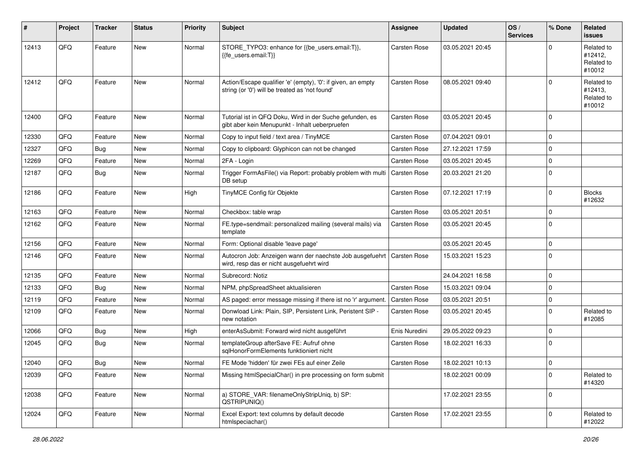| #     | Project | <b>Tracker</b> | <b>Status</b> | Priority | <b>Subject</b>                                                                                                 | <b>Assignee</b>     | <b>Updated</b>   | OS/<br><b>Services</b> | % Done         | <b>Related</b><br><b>issues</b>               |
|-------|---------|----------------|---------------|----------|----------------------------------------------------------------------------------------------------------------|---------------------|------------------|------------------------|----------------|-----------------------------------------------|
| 12413 | QFQ     | Feature        | <b>New</b>    | Normal   | STORE_TYPO3: enhance for {{be_users.email:T}},<br>{{fe users.email:T}}                                         | <b>Carsten Rose</b> | 03.05.2021 20:45 |                        | $\Omega$       | Related to<br>#12412,<br>Related to<br>#10012 |
| 12412 | QFQ     | Feature        | <b>New</b>    | Normal   | Action/Escape qualifier 'e' (empty), '0': if given, an empty<br>string (or '0') will be treated as 'not found' | <b>Carsten Rose</b> | 08.05.2021 09:40 |                        | $\Omega$       | Related to<br>#12413,<br>Related to<br>#10012 |
| 12400 | QFQ     | Feature        | <b>New</b>    | Normal   | Tutorial ist in QFQ Doku, Wird in der Suche gefunden, es<br>gibt aber kein Menupunkt - Inhalt ueberpruefen     | <b>Carsten Rose</b> | 03.05.2021 20:45 |                        | $\Omega$       |                                               |
| 12330 | QFQ     | Feature        | <b>New</b>    | Normal   | Copy to input field / text area / TinyMCE                                                                      | <b>Carsten Rose</b> | 07.04.2021 09:01 |                        | $\mathbf 0$    |                                               |
| 12327 | QFQ     | Bug            | <b>New</b>    | Normal   | Copy to clipboard: Glyphicon can not be changed                                                                | <b>Carsten Rose</b> | 27.12.2021 17:59 |                        | $\mathbf 0$    |                                               |
| 12269 | QFQ     | Feature        | <b>New</b>    | Normal   | 2FA - Login                                                                                                    | <b>Carsten Rose</b> | 03.05.2021 20:45 |                        | $\mathbf 0$    |                                               |
| 12187 | QFQ     | <b>Bug</b>     | New           | Normal   | Trigger FormAsFile() via Report: probably problem with multi<br>DB setup                                       | Carsten Rose        | 20.03.2021 21:20 |                        | $\overline{0}$ |                                               |
| 12186 | QFQ     | Feature        | <b>New</b>    | High     | TinyMCE Config für Objekte                                                                                     | <b>Carsten Rose</b> | 07.12.2021 17:19 |                        | $\mathbf 0$    | <b>Blocks</b><br>#12632                       |
| 12163 | QFQ     | Feature        | <b>New</b>    | Normal   | Checkbox: table wrap                                                                                           | <b>Carsten Rose</b> | 03.05.2021 20:51 |                        | $\mathbf 0$    |                                               |
| 12162 | QFQ     | Feature        | New           | Normal   | FE.type=sendmail: personalized mailing (several mails) via<br>template                                         | <b>Carsten Rose</b> | 03.05.2021 20:45 |                        | $\overline{0}$ |                                               |
| 12156 | QFQ     | Feature        | <b>New</b>    | Normal   | Form: Optional disable 'leave page'                                                                            |                     | 03.05.2021 20:45 |                        | $\mathbf 0$    |                                               |
| 12146 | QFQ     | Feature        | New           | Normal   | Autocron Job: Anzeigen wann der naechste Job ausgefuehrt<br>wird, resp das er nicht ausgefuehrt wird           | <b>Carsten Rose</b> | 15.03.2021 15:23 |                        | $\mathbf 0$    |                                               |
| 12135 | QFQ     | Feature        | <b>New</b>    | Normal   | Subrecord: Notiz                                                                                               |                     | 24.04.2021 16:58 |                        | $\mathbf 0$    |                                               |
| 12133 | QFQ     | <b>Bug</b>     | <b>New</b>    | Normal   | NPM, phpSpreadSheet aktualisieren                                                                              | <b>Carsten Rose</b> | 15.03.2021 09:04 |                        | $\mathbf 0$    |                                               |
| 12119 | QFQ     | Feature        | <b>New</b>    | Normal   | AS paged: error message missing if there ist no 'r' argument.                                                  | <b>Carsten Rose</b> | 03.05.2021 20:51 |                        | $\mathbf 0$    |                                               |
| 12109 | QFQ     | Feature        | New           | Normal   | Donwload Link: Plain, SIP, Persistent Link, Peristent SIP -<br>new notation                                    | <b>Carsten Rose</b> | 03.05.2021 20:45 |                        | $\mathbf 0$    | Related to<br>#12085                          |
| 12066 | QFQ     | Bug            | New           | High     | enterAsSubmit: Forward wird nicht ausgeführt                                                                   | Enis Nuredini       | 29.05.2022 09:23 |                        | $\mathbf 0$    |                                               |
| 12045 | QFQ     | <b>Bug</b>     | New           | Normal   | templateGroup afterSave FE: Aufruf ohne<br>sqlHonorFormElements funktioniert nicht                             | <b>Carsten Rose</b> | 18.02.2021 16:33 |                        | $\overline{0}$ |                                               |
| 12040 | QFQ     | Bug            | New           | Normal   | FE Mode 'hidden' für zwei FEs auf einer Zeile                                                                  | <b>Carsten Rose</b> | 18.02.2021 10:13 |                        | $\overline{0}$ |                                               |
| 12039 | QFQ     | Feature        | New           | Normal   | Missing htmlSpecialChar() in pre processing on form submit                                                     |                     | 18.02.2021 00:09 |                        | $\mathbf 0$    | Related to<br>#14320                          |
| 12038 | QFQ     | Feature        | New           | Normal   | a) STORE_VAR: filenameOnlyStripUniq, b) SP:<br>QSTRIPUNIQ()                                                    |                     | 17.02.2021 23:55 |                        | 0              |                                               |
| 12024 | QFQ     | Feature        | New           | Normal   | Excel Export: text columns by default decode<br>htmlspeciachar()                                               | Carsten Rose        | 17.02.2021 23:55 |                        | $\mathbf 0$    | Related to<br>#12022                          |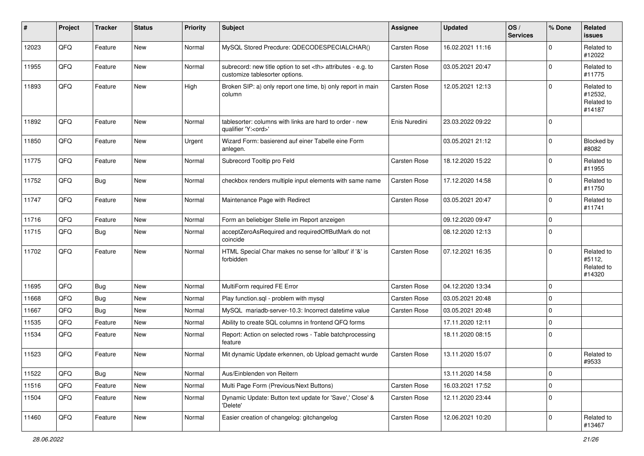| #     | Project | <b>Tracker</b> | <b>Status</b> | <b>Priority</b> | <b>Subject</b>                                                                                       | <b>Assignee</b>                                        | <b>Updated</b>      | OS/<br><b>Services</b> | % Done         | Related<br><b>issues</b>                      |                      |
|-------|---------|----------------|---------------|-----------------|------------------------------------------------------------------------------------------------------|--------------------------------------------------------|---------------------|------------------------|----------------|-----------------------------------------------|----------------------|
| 12023 | QFQ     | Feature        | <b>New</b>    | Normal          | MySQL Stored Precdure: QDECODESPECIALCHAR()                                                          | Carsten Rose                                           | 16.02.2021 11:16    |                        | $\mathbf 0$    | Related to<br>#12022                          |                      |
| 11955 | QFQ     | Feature        | New           | Normal          | subrecord: new title option to set <th> attributes - e.g. to<br/>customize tablesorter options.</th> | attributes - e.g. to<br>customize tablesorter options. | <b>Carsten Rose</b> | 03.05.2021 20:47       |                | $\mathbf 0$                                   | Related to<br>#11775 |
| 11893 | QFQ     | Feature        | <b>New</b>    | High            | Broken SIP: a) only report one time, b) only report in main<br>column                                | <b>Carsten Rose</b>                                    | 12.05.2021 12:13    |                        | $\Omega$       | Related to<br>#12532,<br>Related to<br>#14187 |                      |
| 11892 | QFQ     | Feature        | New           | Normal          | tablesorter: columns with links are hard to order - new<br>qualifier 'Y: <ord>'</ord>                | Enis Nuredini                                          | 23.03.2022 09:22    |                        | $\overline{0}$ |                                               |                      |
| 11850 | QFQ     | Feature        | <b>New</b>    | Urgent          | Wizard Form: basierend auf einer Tabelle eine Form<br>anlegen.                                       |                                                        | 03.05.2021 21:12    |                        | $\mathbf 0$    | Blocked by<br>#8082                           |                      |
| 11775 | QFQ     | Feature        | <b>New</b>    | Normal          | Subrecord Tooltip pro Feld                                                                           | Carsten Rose                                           | 18.12.2020 15:22    |                        | $\mathbf 0$    | Related to<br>#11955                          |                      |
| 11752 | QFQ     | <b>Bug</b>     | New           | Normal          | checkbox renders multiple input elements with same name                                              | <b>Carsten Rose</b>                                    | 17.12.2020 14:58    |                        | $\mathbf 0$    | Related to<br>#11750                          |                      |
| 11747 | QFQ     | Feature        | New           | Normal          | Maintenance Page with Redirect                                                                       | <b>Carsten Rose</b>                                    | 03.05.2021 20:47    |                        | $\mathbf 0$    | Related to<br>#11741                          |                      |
| 11716 | QFQ     | Feature        | New           | Normal          | Form an beliebiger Stelle im Report anzeigen                                                         |                                                        | 09.12.2020 09:47    |                        | $\Omega$       |                                               |                      |
| 11715 | QFQ     | <b>Bug</b>     | <b>New</b>    | Normal          | acceptZeroAsRequired and requiredOffButMark do not<br>coincide                                       |                                                        | 08.12.2020 12:13    |                        | $\overline{0}$ |                                               |                      |
| 11702 | QFQ     | Feature        | <b>New</b>    | Normal          | HTML Special Char makes no sense for 'allbut' if '&' is<br>forbidden                                 | <b>Carsten Rose</b>                                    | 07.12.2021 16:35    |                        | $\mathbf 0$    | Related to<br>#5112,<br>Related to<br>#14320  |                      |
| 11695 | QFQ     | <b>Bug</b>     | <b>New</b>    | Normal          | MultiForm required FE Error                                                                          | <b>Carsten Rose</b>                                    | 04.12.2020 13:34    |                        | $\mathbf 0$    |                                               |                      |
| 11668 | QFQ     | Bug            | <b>New</b>    | Normal          | Play function.sql - problem with mysql                                                               | <b>Carsten Rose</b>                                    | 03.05.2021 20:48    |                        | $\mathbf 0$    |                                               |                      |
| 11667 | QFQ     | Bug            | <b>New</b>    | Normal          | MySQL mariadb-server-10.3: Incorrect datetime value                                                  | Carsten Rose                                           | 03.05.2021 20:48    |                        | $\mathbf 0$    |                                               |                      |
| 11535 | QFQ     | Feature        | <b>New</b>    | Normal          | Ability to create SQL columns in frontend QFQ forms                                                  |                                                        | 17.11.2020 12:11    |                        | $\mathbf 0$    |                                               |                      |
| 11534 | QFQ     | Feature        | <b>New</b>    | Normal          | Report: Action on selected rows - Table batchprocessing<br>feature                                   |                                                        | 18.11.2020 08:15    |                        | $\mathbf 0$    |                                               |                      |
| 11523 | QFQ     | Feature        | <b>New</b>    | Normal          | Mit dynamic Update erkennen, ob Upload gemacht wurde                                                 | Carsten Rose                                           | 13.11.2020 15:07    |                        | $\mathbf 0$    | Related to<br>#9533                           |                      |
| 11522 | QFQ     | <b>Bug</b>     | New           | Normal          | Aus/Einblenden von Reitern                                                                           |                                                        | 13.11.2020 14:58    |                        | $\mathbf 0$    |                                               |                      |
| 11516 | QFQ     | Feature        | New           | Normal          | Multi Page Form (Previous/Next Buttons)                                                              | Carsten Rose                                           | 16.03.2021 17:52    |                        | $\mathbf 0$    |                                               |                      |
| 11504 | QFQ     | Feature        | New           | Normal          | Dynamic Update: Button text update for 'Save',' Close' &<br>'Delete'                                 | Carsten Rose                                           | 12.11.2020 23:44    |                        | $\mathbf 0$    |                                               |                      |
| 11460 | QFQ     | Feature        | New           | Normal          | Easier creation of changelog: gitchangelog                                                           | Carsten Rose                                           | 12.06.2021 10:20    |                        | $\mathbf 0$    | Related to<br>#13467                          |                      |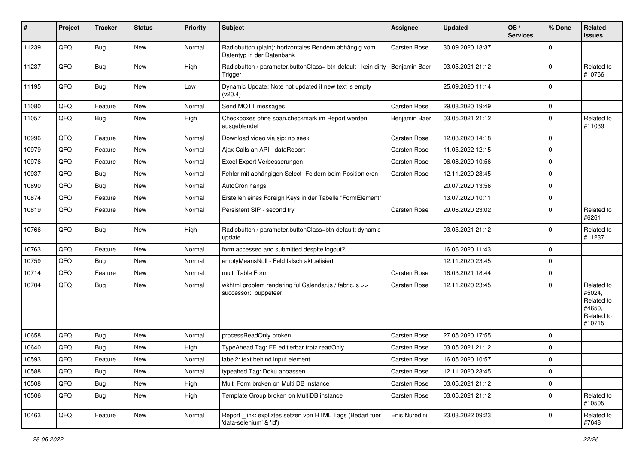| #     | Project | <b>Tracker</b> | <b>Status</b> | <b>Priority</b> | Subject                                                                              | <b>Assignee</b>     | <b>Updated</b>   | OS/<br><b>Services</b> | % Done         | Related<br><b>issues</b>                                             |
|-------|---------|----------------|---------------|-----------------|--------------------------------------------------------------------------------------|---------------------|------------------|------------------------|----------------|----------------------------------------------------------------------|
| 11239 | QFQ     | Bug            | New           | Normal          | Radiobutton (plain): horizontales Rendern abhängig vom<br>Datentyp in der Datenbank  | <b>Carsten Rose</b> | 30.09.2020 18:37 |                        | $\mathbf 0$    |                                                                      |
| 11237 | QFQ     | <b>Bug</b>     | New           | High            | Radiobutton / parameter.buttonClass= btn-default - kein dirty<br>Trigger             | Benjamin Baer       | 03.05.2021 21:12 |                        | $\mathbf 0$    | Related to<br>#10766                                                 |
| 11195 | QFQ     | Bug            | New           | Low             | Dynamic Update: Note not updated if new text is empty<br>(v20.4)                     |                     | 25.09.2020 11:14 |                        | $\Omega$       |                                                                      |
| 11080 | QFQ     | Feature        | <b>New</b>    | Normal          | Send MQTT messages                                                                   | <b>Carsten Rose</b> | 29.08.2020 19:49 |                        | $\mathbf 0$    |                                                                      |
| 11057 | QFQ     | Bug            | New           | High            | Checkboxes ohne span.checkmark im Report werden<br>ausgeblendet                      | Benjamin Baer       | 03.05.2021 21:12 |                        | $\Omega$       | Related to<br>#11039                                                 |
| 10996 | QFQ     | Feature        | New           | Normal          | Download video via sip: no seek                                                      | <b>Carsten Rose</b> | 12.08.2020 14:18 |                        | $\mathbf 0$    |                                                                      |
| 10979 | QFQ     | Feature        | New           | Normal          | Ajax Calls an API - dataReport                                                       | <b>Carsten Rose</b> | 11.05.2022 12:15 |                        | $\mathbf 0$    |                                                                      |
| 10976 | QFQ     | Feature        | <b>New</b>    | Normal          | Excel Export Verbesserungen                                                          | <b>Carsten Rose</b> | 06.08.2020 10:56 |                        | $\mathbf 0$    |                                                                      |
| 10937 | QFQ     | <b>Bug</b>     | <b>New</b>    | Normal          | Fehler mit abhängigen Select- Feldern beim Positionieren                             | <b>Carsten Rose</b> | 12.11.2020 23:45 |                        | $\mathbf 0$    |                                                                      |
| 10890 | QFQ     | Bug            | <b>New</b>    | Normal          | AutoCron hangs                                                                       |                     | 20.07.2020 13:56 |                        | $\overline{0}$ |                                                                      |
| 10874 | QFQ     | Feature        | <b>New</b>    | Normal          | Erstellen eines Foreign Keys in der Tabelle "FormElement"                            |                     | 13.07.2020 10:11 |                        | $\mathbf 0$    |                                                                      |
| 10819 | QFQ     | Feature        | New           | Normal          | Persistent SIP - second try                                                          | <b>Carsten Rose</b> | 29.06.2020 23:02 |                        | $\Omega$       | Related to<br>#6261                                                  |
| 10766 | QFQ     | Bug            | New           | High            | Radiobutton / parameter.buttonClass=btn-default: dynamic<br>update                   |                     | 03.05.2021 21:12 |                        | $\Omega$       | Related to<br>#11237                                                 |
| 10763 | QFQ     | Feature        | <b>New</b>    | Normal          | form accessed and submitted despite logout?                                          |                     | 16.06.2020 11:43 |                        | $\mathbf 0$    |                                                                      |
| 10759 | QFQ     | Bug            | <b>New</b>    | Normal          | emptyMeansNull - Feld falsch aktualisiert                                            |                     | 12.11.2020 23:45 |                        | $\Omega$       |                                                                      |
| 10714 | QFQ     | Feature        | <b>New</b>    | Normal          | multi Table Form                                                                     | <b>Carsten Rose</b> | 16.03.2021 18:44 |                        | $\mathbf 0$    |                                                                      |
| 10704 | QFQ     | Bug            | <b>New</b>    | Normal          | wkhtml problem rendering fullCalendar.js / fabric.js >><br>successor: puppeteer      | Carsten Rose        | 12.11.2020 23:45 |                        | $\mathbf 0$    | Related to<br>#5024,<br>Related to<br>#4650.<br>Related to<br>#10715 |
| 10658 | QFQ     | <b>Bug</b>     | <b>New</b>    | Normal          | processReadOnly broken                                                               | <b>Carsten Rose</b> | 27.05.2020 17:55 |                        | $\mathbf 0$    |                                                                      |
| 10640 | QFQ     | <b>Bug</b>     | <b>New</b>    | High            | TypeAhead Tag: FE editierbar trotz readOnly                                          | <b>Carsten Rose</b> | 03.05.2021 21:12 |                        | $\Omega$       |                                                                      |
| 10593 | QFQ     | Feature        | New           | Normal          | label2: text behind input element                                                    | <b>Carsten Rose</b> | 16.05.2020 10:57 |                        | $\mathbf 0$    |                                                                      |
| 10588 | QFQ     | Bug            | <b>New</b>    | Normal          | typeahed Tag: Doku anpassen                                                          | Carsten Rose        | 12.11.2020 23:45 |                        | $\mathbf 0$    |                                                                      |
| 10508 | QFQ     | Bug            | New           | High            | Multi Form broken on Multi DB Instance                                               | Carsten Rose        | 03.05.2021 21:12 |                        | $\mathbf 0$    |                                                                      |
| 10506 | QFQ     | <b>Bug</b>     | New           | High            | Template Group broken on MultiDB instance                                            | <b>Carsten Rose</b> | 03.05.2021 21:12 |                        | $\mathbf 0$    | Related to<br>#10505                                                 |
| 10463 | QFQ     | Feature        | New           | Normal          | Report _link: expliztes setzen von HTML Tags (Bedarf fuer<br>'data-selenium' & 'id') | Enis Nuredini       | 23.03.2022 09:23 |                        | $\mathbf 0$    | Related to<br>#7648                                                  |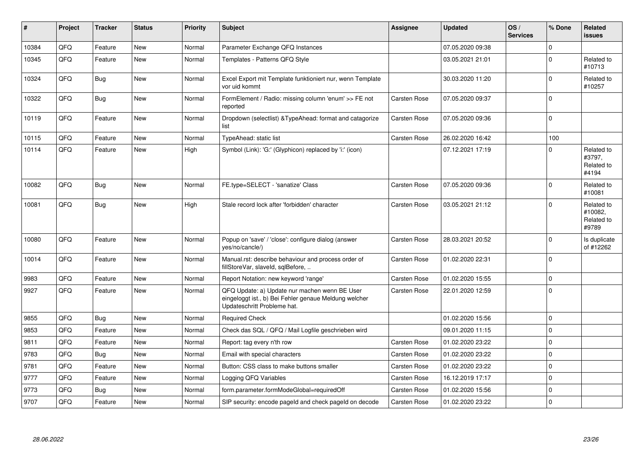| ∦     | <b>Project</b> | <b>Tracker</b> | <b>Status</b> | Priority | <b>Subject</b>                                                                                                                        | <b>Assignee</b>     | <b>Updated</b>   | OS/<br><b>Services</b> | % Done         | Related<br><b>issues</b>                     |
|-------|----------------|----------------|---------------|----------|---------------------------------------------------------------------------------------------------------------------------------------|---------------------|------------------|------------------------|----------------|----------------------------------------------|
| 10384 | QFQ            | Feature        | New           | Normal   | Parameter Exchange QFQ Instances                                                                                                      |                     | 07.05.2020 09:38 |                        | $\mathbf 0$    |                                              |
| 10345 | QFQ            | Feature        | <b>New</b>    | Normal   | Templates - Patterns QFQ Style                                                                                                        |                     | 03.05.2021 21:01 |                        | $\mathbf 0$    | Related to<br>#10713                         |
| 10324 | QFQ            | <b>Bug</b>     | <b>New</b>    | Normal   | Excel Export mit Template funktioniert nur, wenn Template<br>vor uid kommt                                                            |                     | 30.03.2020 11:20 |                        | $\Omega$       | Related to<br>#10257                         |
| 10322 | QFQ            | <b>Bug</b>     | <b>New</b>    | Normal   | FormElement / Radio: missing column 'enum' >> FE not<br>reported                                                                      | <b>Carsten Rose</b> | 07.05.2020 09:37 |                        | $\overline{0}$ |                                              |
| 10119 | QFQ            | Feature        | New           | Normal   | Dropdown (selectlist) & Type Ahead: format and catagorize<br>list                                                                     | <b>Carsten Rose</b> | 07.05.2020 09:36 |                        | $\pmb{0}$      |                                              |
| 10115 | QFQ            | Feature        | New           | Normal   | TypeAhead: static list                                                                                                                | <b>Carsten Rose</b> | 26.02.2020 16:42 |                        | 100            |                                              |
| 10114 | QFQ            | Feature        | <b>New</b>    | High     | Symbol (Link): 'G:' (Glyphicon) replaced by 'i:' (icon)                                                                               |                     | 07.12.2021 17:19 |                        | $\mathbf 0$    | Related to<br>#3797,<br>Related to<br>#4194  |
| 10082 | QFQ            | <b>Bug</b>     | <b>New</b>    | Normal   | FE.type=SELECT - 'sanatize' Class                                                                                                     | <b>Carsten Rose</b> | 07.05.2020 09:36 |                        | $\mathbf 0$    | Related to<br>#10081                         |
| 10081 | QFQ            | Bug            | <b>New</b>    | High     | Stale record lock after 'forbidden' character                                                                                         | <b>Carsten Rose</b> | 03.05.2021 21:12 |                        | $\mathbf 0$    | Related to<br>#10082.<br>Related to<br>#9789 |
| 10080 | QFQ            | Feature        | <b>New</b>    | Normal   | Popup on 'save' / 'close': configure dialog (answer<br>yes/no/cancle/)                                                                | <b>Carsten Rose</b> | 28.03.2021 20:52 |                        | $\Omega$       | Is duplicate<br>of #12262                    |
| 10014 | QFQ            | Feature        | New           | Normal   | Manual.rst: describe behaviour and process order of<br>fillStoreVar, slaveId, sqlBefore,                                              | <b>Carsten Rose</b> | 01.02.2020 22:31 |                        | $\mathbf 0$    |                                              |
| 9983  | QFQ            | Feature        | <b>New</b>    | Normal   | Report Notation: new keyword 'range'                                                                                                  | <b>Carsten Rose</b> | 01.02.2020 15:55 |                        | $\mathbf 0$    |                                              |
| 9927  | QFQ            | Feature        | <b>New</b>    | Normal   | QFQ Update: a) Update nur machen wenn BE User<br>eingeloggt ist., b) Bei Fehler genaue Meldung welcher<br>Updateschritt Probleme hat. | <b>Carsten Rose</b> | 22.01.2020 12:59 |                        | $\Omega$       |                                              |
| 9855  | QFQ            | Bug            | <b>New</b>    | Normal   | <b>Required Check</b>                                                                                                                 |                     | 01.02.2020 15:56 |                        | $\mathbf{0}$   |                                              |
| 9853  | QFQ            | Feature        | New           | Normal   | Check das SQL / QFQ / Mail Logfile geschrieben wird                                                                                   |                     | 09.01.2020 11:15 |                        | $\Omega$       |                                              |
| 9811  | QFQ            | Feature        | New           | Normal   | Report: tag every n'th row                                                                                                            | <b>Carsten Rose</b> | 01.02.2020 23:22 |                        | $\overline{0}$ |                                              |
| 9783  | QFQ            | <b>Bug</b>     | <b>New</b>    | Normal   | Email with special characters                                                                                                         | <b>Carsten Rose</b> | 01.02.2020 23:22 |                        | $\mathbf 0$    |                                              |
| 9781  | QFQ            | Feature        | <b>New</b>    | Normal   | Button: CSS class to make buttons smaller                                                                                             | <b>Carsten Rose</b> | 01.02.2020 23:22 |                        | $\pmb{0}$      |                                              |
| 9777  | QFQ            | Feature        | New           | Normal   | Logging QFQ Variables                                                                                                                 | <b>Carsten Rose</b> | 16.12.2019 17:17 |                        | $\overline{0}$ |                                              |
| 9773  | QFQ            | Bug            | <b>New</b>    | Normal   | form.parameter.formModeGlobal=requiredOff                                                                                             | <b>Carsten Rose</b> | 01.02.2020 15:56 |                        | $\mathbf 0$    |                                              |
| 9707  | QFQ            | Feature        | <b>New</b>    | Normal   | SIP security: encode pageld and check pageld on decode                                                                                | <b>Carsten Rose</b> | 01.02.2020 23:22 |                        | $\mathbf{0}$   |                                              |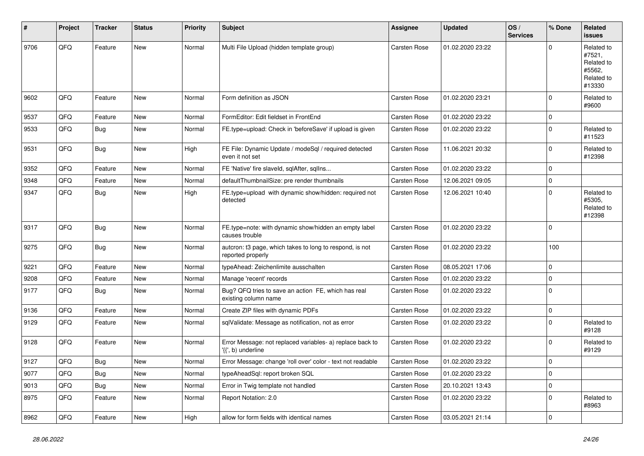| $\vert$ # | Project        | <b>Tracker</b> | <b>Status</b> | Priority | <b>Subject</b>                                                                  | <b>Assignee</b>     | <b>Updated</b>   | OS/<br><b>Services</b> | % Done      | Related<br><b>issues</b>                                             |
|-----------|----------------|----------------|---------------|----------|---------------------------------------------------------------------------------|---------------------|------------------|------------------------|-------------|----------------------------------------------------------------------|
| 9706      | QFQ            | Feature        | <b>New</b>    | Normal   | Multi File Upload (hidden template group)                                       | <b>Carsten Rose</b> | 01.02.2020 23:22 |                        | $\Omega$    | Related to<br>#7521,<br>Related to<br>#5562,<br>Related to<br>#13330 |
| 9602      | QFQ            | Feature        | <b>New</b>    | Normal   | Form definition as JSON                                                         | <b>Carsten Rose</b> | 01.02.2020 23:21 |                        | $\mathbf 0$ | Related to<br>#9600                                                  |
| 9537      | QFQ            | Feature        | <b>New</b>    | Normal   | FormEditor: Edit fieldset in FrontEnd                                           | <b>Carsten Rose</b> | 01.02.2020 23:22 |                        | $\mathbf 0$ |                                                                      |
| 9533      | QFQ            | <b>Bug</b>     | <b>New</b>    | Normal   | FE.type=upload: Check in 'beforeSave' if upload is given                        | <b>Carsten Rose</b> | 01.02.2020 23:22 |                        | $\mathbf 0$ | Related to<br>#11523                                                 |
| 9531      | QFQ            | <b>Bug</b>     | <b>New</b>    | High     | FE File: Dynamic Update / modeSql / required detected<br>even it not set        | <b>Carsten Rose</b> | 11.06.2021 20:32 |                        | $\mathbf 0$ | Related to<br>#12398                                                 |
| 9352      | QFQ            | Feature        | New           | Normal   | FE 'Native' fire slaveld, sqlAfter, sqlIns                                      | <b>Carsten Rose</b> | 01.02.2020 23:22 |                        | $\mathbf 0$ |                                                                      |
| 9348      | QFQ            | Feature        | <b>New</b>    | Normal   | defaultThumbnailSize: pre render thumbnails                                     | <b>Carsten Rose</b> | 12.06.2021 09:05 |                        | $\mathbf 0$ |                                                                      |
| 9347      | QFQ            | <b>Bug</b>     | New           | High     | FE.type=upload with dynamic show/hidden: required not<br>detected               | Carsten Rose        | 12.06.2021 10:40 |                        | $\Omega$    | Related to<br>#5305,<br>Related to<br>#12398                         |
| 9317      | QFQ            | <b>Bug</b>     | <b>New</b>    | Normal   | FE.type=note: with dynamic show/hidden an empty label<br>causes trouble         | <b>Carsten Rose</b> | 01.02.2020 23:22 |                        | $\Omega$    |                                                                      |
| 9275      | QFQ            | <b>Bug</b>     | <b>New</b>    | Normal   | autcron: t3 page, which takes to long to respond, is not<br>reported properly   | Carsten Rose        | 01.02.2020 23:22 |                        | 100         |                                                                      |
| 9221      | QFQ            | Feature        | <b>New</b>    | Normal   | typeAhead: Zeichenlimite ausschalten                                            | <b>Carsten Rose</b> | 08.05.2021 17:06 |                        | $\mathbf 0$ |                                                                      |
| 9208      | QFQ            | Feature        | New           | Normal   | Manage 'recent' records                                                         | <b>Carsten Rose</b> | 01.02.2020 23:22 |                        | $\mathbf 0$ |                                                                      |
| 9177      | QFQ            | <b>Bug</b>     | <b>New</b>    | Normal   | Bug? QFQ tries to save an action FE, which has real<br>existing column name     | Carsten Rose        | 01.02.2020 23:22 |                        | $\mathbf 0$ |                                                                      |
| 9136      | QFQ            | Feature        | <b>New</b>    | Normal   | Create ZIP files with dynamic PDFs                                              | Carsten Rose        | 01.02.2020 23:22 |                        | $\mathbf 0$ |                                                                      |
| 9129      | QFQ            | Feature        | <b>New</b>    | Normal   | sqlValidate: Message as notification, not as error                              | Carsten Rose        | 01.02.2020 23:22 |                        | $\Omega$    | Related to<br>#9128                                                  |
| 9128      | QFQ            | Feature        | New           | Normal   | Error Message: not replaced variables- a) replace back to<br>'{{', b) underline | <b>Carsten Rose</b> | 01.02.2020 23:22 |                        | $\mathbf 0$ | Related to<br>#9129                                                  |
| 9127      | QFQ            | Bug            | New           | Normal   | Error Message: change 'roll over' color - text not readable                     | <b>Carsten Rose</b> | 01.02.2020 23:22 |                        | $\Omega$    |                                                                      |
| 9077      | QFQ            | <b>Bug</b>     | <b>New</b>    | Normal   | typeAheadSql: report broken SQL                                                 | Carsten Rose        | 01.02.2020 23:22 |                        | $\mathbf 0$ |                                                                      |
| 9013      | QFQ            | <b>Bug</b>     | New           | Normal   | Error in Twig template not handled                                              | Carsten Rose        | 20.10.2021 13:43 |                        | $\mathbf 0$ |                                                                      |
| 8975      | QFQ            | Feature        | New           | Normal   | Report Notation: 2.0                                                            | Carsten Rose        | 01.02.2020 23:22 |                        | $\mathbf 0$ | Related to<br>#8963                                                  |
| 8962      | $\mathsf{QFQ}$ | Feature        | New           | High     | allow for form fields with identical names                                      | Carsten Rose        | 03.05.2021 21:14 |                        | 0           |                                                                      |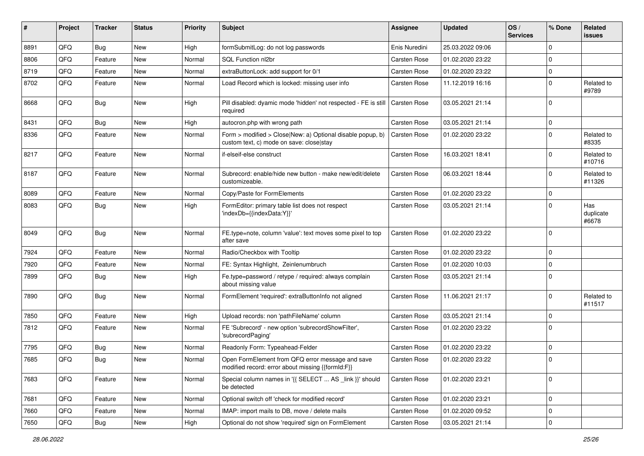| ∦    | Project | <b>Tracker</b> | <b>Status</b> | <b>Priority</b> | <b>Subject</b>                                                                                         | <b>Assignee</b>     | <b>Updated</b>   | OS/<br><b>Services</b> | % Done         | Related<br><b>issues</b>  |
|------|---------|----------------|---------------|-----------------|--------------------------------------------------------------------------------------------------------|---------------------|------------------|------------------------|----------------|---------------------------|
| 8891 | QFQ     | Bug            | New           | High            | formSubmitLog: do not log passwords                                                                    | Enis Nuredini       | 25.03.2022 09:06 |                        | $\mathbf 0$    |                           |
| 8806 | QFQ     | Feature        | <b>New</b>    | Normal          | SQL Function nl2br                                                                                     | <b>Carsten Rose</b> | 01.02.2020 23:22 |                        | $\mathbf 0$    |                           |
| 8719 | QFQ     | Feature        | <b>New</b>    | Normal          | extraButtonLock: add support for 0/1                                                                   | <b>Carsten Rose</b> | 01.02.2020 23:22 |                        | $\mathbf 0$    |                           |
| 8702 | QFQ     | Feature        | <b>New</b>    | Normal          | Load Record which is locked: missing user info                                                         | <b>Carsten Rose</b> | 11.12.2019 16:16 |                        | $\mathbf 0$    | Related to<br>#9789       |
| 8668 | QFQ     | <b>Bug</b>     | <b>New</b>    | High            | Pill disabled: dyamic mode 'hidden' not respected - FE is still<br>required                            | <b>Carsten Rose</b> | 03.05.2021 21:14 |                        | $\Omega$       |                           |
| 8431 | QFQ     | <b>Bug</b>     | <b>New</b>    | High            | autocron.php with wrong path                                                                           | <b>Carsten Rose</b> | 03.05.2021 21:14 |                        | $\mathbf 0$    |                           |
| 8336 | QFQ     | Feature        | <b>New</b>    | Normal          | Form > modified > Close New: a) Optional disable popup, b)<br>custom text, c) mode on save: close stay | Carsten Rose        | 01.02.2020 23:22 |                        | $\mathbf 0$    | Related to<br>#8335       |
| 8217 | QFQ     | Feature        | <b>New</b>    | Normal          | if-elseif-else construct                                                                               | <b>Carsten Rose</b> | 16.03.2021 18:41 |                        | $\mathbf 0$    | Related to<br>#10716      |
| 8187 | QFQ     | Feature        | New           | Normal          | Subrecord: enable/hide new button - make new/edit/delete<br>customizeable.                             | <b>Carsten Rose</b> | 06.03.2021 18:44 |                        | $\Omega$       | Related to<br>#11326      |
| 8089 | QFQ     | Feature        | <b>New</b>    | Normal          | Copy/Paste for FormElements                                                                            | <b>Carsten Rose</b> | 01.02.2020 23:22 |                        | $\mathbf 0$    |                           |
| 8083 | QFQ     | <b>Bug</b>     | <b>New</b>    | High            | FormEditor: primary table list does not respect<br>'indexDb={{indexData:Y}}'                           | <b>Carsten Rose</b> | 03.05.2021 21:14 |                        | $\mathbf 0$    | Has<br>duplicate<br>#6678 |
| 8049 | QFQ     | <b>Bug</b>     | <b>New</b>    | Normal          | FE.type=note, column 'value': text moves some pixel to top<br>after save                               | <b>Carsten Rose</b> | 01.02.2020 23:22 |                        | $\overline{0}$ |                           |
| 7924 | QFQ     | Feature        | <b>New</b>    | Normal          | Radio/Checkbox with Tooltip                                                                            | <b>Carsten Rose</b> | 01.02.2020 23:22 |                        | $\mathbf 0$    |                           |
| 7920 | QFQ     | Feature        | New           | Normal          | FE: Syntax Highlight, Zeinlenumbruch                                                                   | <b>Carsten Rose</b> | 01.02.2020 10:03 |                        | $\mathbf 0$    |                           |
| 7899 | QFQ     | Bug            | <b>New</b>    | High            | Fe.type=password / retype / required: always complain<br>about missing value                           | <b>Carsten Rose</b> | 03.05.2021 21:14 |                        | $\overline{0}$ |                           |
| 7890 | QFQ     | <b>Bug</b>     | <b>New</b>    | Normal          | FormElement 'required': extraButtonInfo not aligned                                                    | <b>Carsten Rose</b> | 11.06.2021 21:17 |                        | $\overline{0}$ | Related to<br>#11517      |
| 7850 | QFQ     | Feature        | <b>New</b>    | High            | Upload records: non 'pathFileName' column                                                              | <b>Carsten Rose</b> | 03.05.2021 21:14 |                        | $\mathbf 0$    |                           |
| 7812 | QFQ     | Feature        | <b>New</b>    | Normal          | FE 'Subrecord' - new option 'subrecordShowFilter',<br>'subrecordPaging'                                | <b>Carsten Rose</b> | 01.02.2020 23:22 |                        | $\Omega$       |                           |
| 7795 | QFQ     | <b>Bug</b>     | <b>New</b>    | Normal          | Readonly Form: Typeahead-Felder                                                                        | <b>Carsten Rose</b> | 01.02.2020 23:22 |                        | $\mathbf 0$    |                           |
| 7685 | QFQ     | <b>Bug</b>     | <b>New</b>    | Normal          | Open FormElement from QFQ error message and save<br>modified record: error about missing {{formId:F}}  | <b>Carsten Rose</b> | 01.02.2020 23:22 |                        | $\mathbf 0$    |                           |
| 7683 | QFQ     | Feature        | New           | Normal          | Special column names in '{{ SELECT  AS _link }}' should<br>be detected                                 | Carsten Rose        | 01.02.2020 23:21 |                        | $\mathbf 0$    |                           |
| 7681 | QFQ     | Feature        | New           | Normal          | Optional switch off 'check for modified record'                                                        | Carsten Rose        | 01.02.2020 23:21 |                        | $\mathbf 0$    |                           |
| 7660 | QFQ     | Feature        | New           | Normal          | IMAP: import mails to DB, move / delete mails                                                          | Carsten Rose        | 01.02.2020 09:52 |                        | $\mathbf 0$    |                           |
| 7650 | QFQ     | Bug            | New           | High            | Optional do not show 'required' sign on FormElement                                                    | Carsten Rose        | 03.05.2021 21:14 |                        | $\mathbf 0$    |                           |